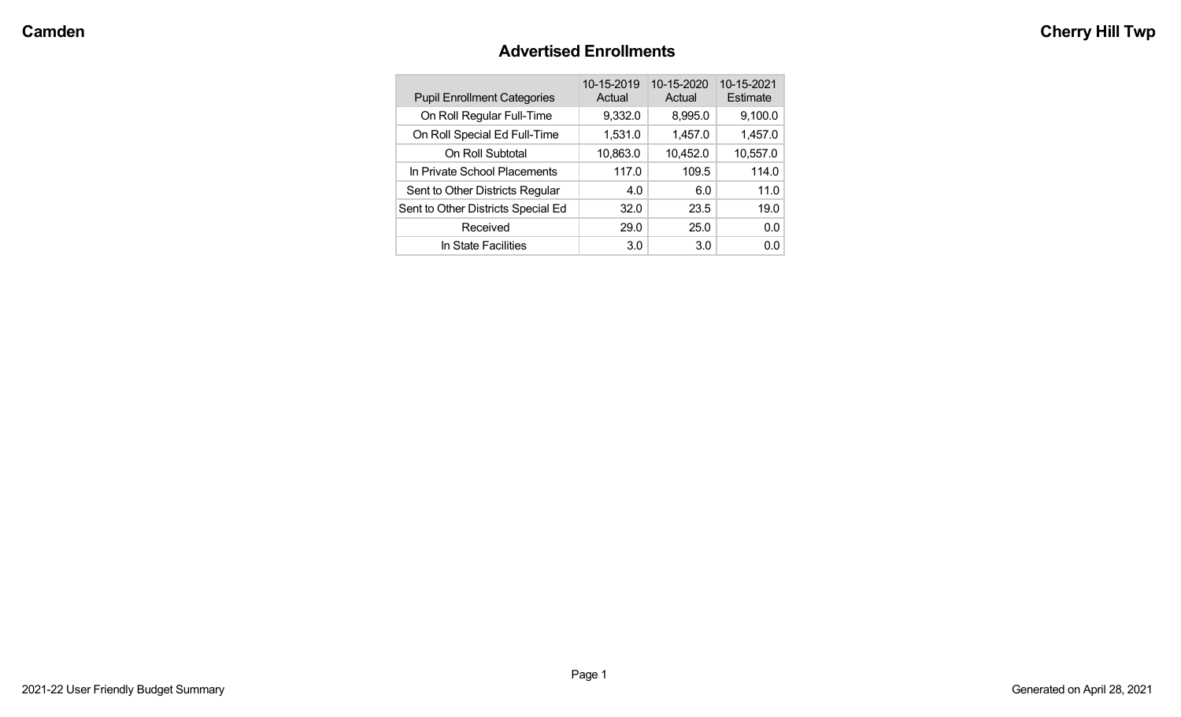#### **Advertised Enrollments**

| <b>Pupil Enrollment Categories</b> | 10-15-2019<br>Actual | 10-15-2020<br>Actual | 10-15-2021<br>Estimate |
|------------------------------------|----------------------|----------------------|------------------------|
| On Roll Regular Full-Time          | 9,332.0              | 8,995.0              | 9,100.0                |
| On Roll Special Ed Full-Time       | 1,531.0              | 1,457.0              | 1,457.0                |
| On Roll Subtotal                   | 10,863.0             | 10,452.0             | 10,557.0               |
| In Private School Placements       | 117.0                | 109.5                | 114.0                  |
| Sent to Other Districts Regular    | 4.0                  | 6.0                  | 11.0                   |
| Sent to Other Districts Special Ed | 32.0                 | 23.5                 | 19.0                   |
| Received                           | 29.0                 | 25.0                 | 0.0                    |
| In State Facilities                | 3.0                  | 3.0                  | 0.0                    |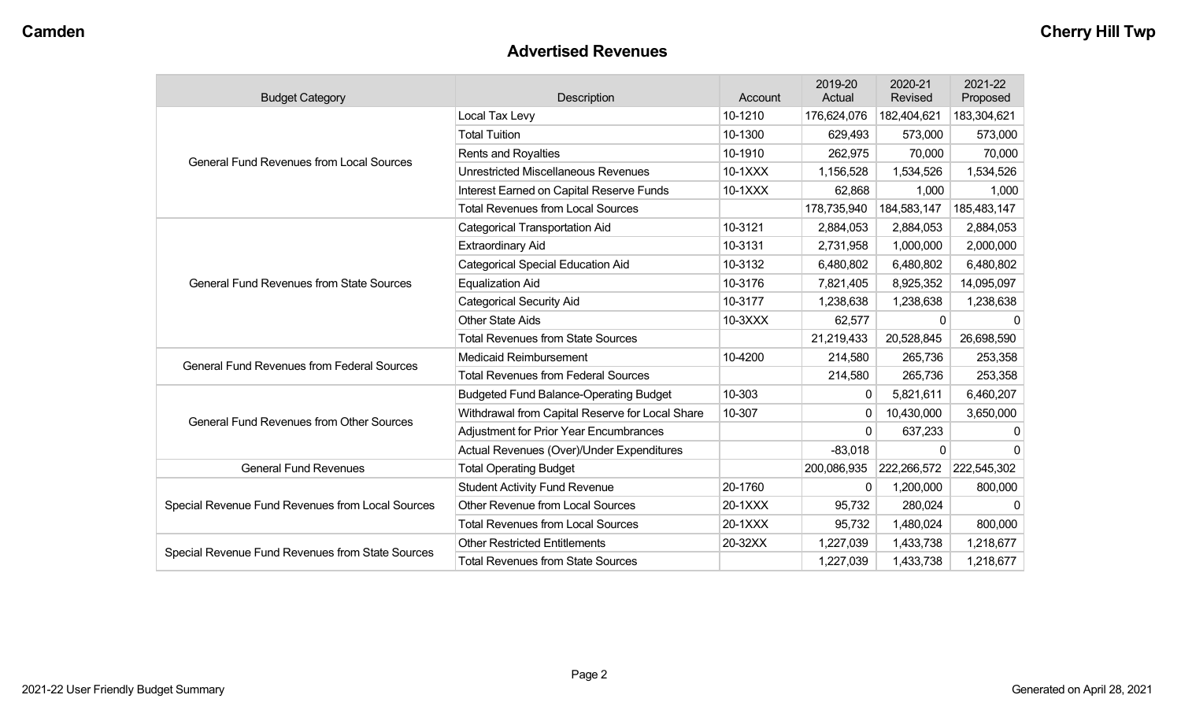#### **Advertised Revenues**

| <b>Budget Category</b>                            | <b>Description</b>                              | Account | 2019-20<br>Actual | 2020-21<br><b>Revised</b> | 2021-22<br>Proposed |
|---------------------------------------------------|-------------------------------------------------|---------|-------------------|---------------------------|---------------------|
|                                                   | Local Tax Levy                                  | 10-1210 | 176,624,076       | 182,404,621               | 183,304,621         |
|                                                   | <b>Total Tuition</b>                            | 10-1300 | 629,493           | 573,000                   | 573,000             |
| <b>General Fund Revenues from Local Sources</b>   | Rents and Royalties                             | 10-1910 | 262,975           | 70,000                    | 70,000              |
|                                                   | <b>Unrestricted Miscellaneous Revenues</b>      | 10-1XXX | 1,156,528         | 1,534,526                 | 1,534,526           |
|                                                   | Interest Earned on Capital Reserve Funds        | 10-1XXX | 62,868            | 1,000                     | 1,000               |
|                                                   | <b>Total Revenues from Local Sources</b>        |         | 178,735,940       | 184,583,147               | 185,483,147         |
|                                                   | <b>Categorical Transportation Aid</b>           | 10-3121 | 2,884,053         | 2,884,053                 | 2,884,053           |
|                                                   | <b>Extraordinary Aid</b>                        | 10-3131 | 2,731,958         | 1,000,000                 | 2,000,000           |
|                                                   | <b>Categorical Special Education Aid</b>        | 10-3132 | 6,480,802         | 6,480,802                 | 6,480,802           |
| <b>General Fund Revenues from State Sources</b>   | <b>Equalization Aid</b>                         | 10-3176 | 7,821,405         | 8,925,352                 | 14,095,097          |
|                                                   | <b>Categorical Security Aid</b>                 | 10-3177 | 1,238,638         | 1,238,638                 | 1,238,638           |
|                                                   | <b>Other State Aids</b>                         | 10-3XXX | 62,577            | $\Omega$                  |                     |
|                                                   | <b>Total Revenues from State Sources</b>        |         | 21,219,433        | 20,528,845                | 26,698,590          |
| <b>General Fund Revenues from Federal Sources</b> | <b>Medicaid Reimbursement</b>                   | 10-4200 | 214,580           | 265,736                   | 253,358             |
|                                                   | <b>Total Revenues from Federal Sources</b>      |         | 214,580           | 265,736                   | 253,358             |
|                                                   | <b>Budgeted Fund Balance-Operating Budget</b>   | 10-303  | $\mathbf{0}$      | 5,821,611                 | 6,460,207           |
| <b>General Fund Revenues from Other Sources</b>   | Withdrawal from Capital Reserve for Local Share | 10-307  | 0                 | 10,430,000                | 3,650,000           |
|                                                   | <b>Adjustment for Prior Year Encumbrances</b>   |         | 0                 | 637,233                   | 0                   |
|                                                   | Actual Revenues (Over)/Under Expenditures       |         | $-83,018$         | $\Omega$                  | $\Omega$            |
| <b>General Fund Revenues</b>                      | <b>Total Operating Budget</b>                   |         | 200,086,935       | 222,266,572               | 222,545,302         |
|                                                   | <b>Student Activity Fund Revenue</b>            | 20-1760 | $\mathbf{0}$      | 1,200,000                 | 800,000             |
| Special Revenue Fund Revenues from Local Sources  | <b>Other Revenue from Local Sources</b>         | 20-1XXX | 95,732            | 280,024                   |                     |
|                                                   | <b>Total Revenues from Local Sources</b>        | 20-1XXX | 95,732            | 1,480,024                 | 800,000             |
| Special Revenue Fund Revenues from State Sources  | <b>Other Restricted Entitlements</b>            | 20-32XX | 1,227,039         | 1,433,738                 | 1,218,677           |
|                                                   | <b>Total Revenues from State Sources</b>        |         | 1,227,039         | 1,433,738                 | 1,218,677           |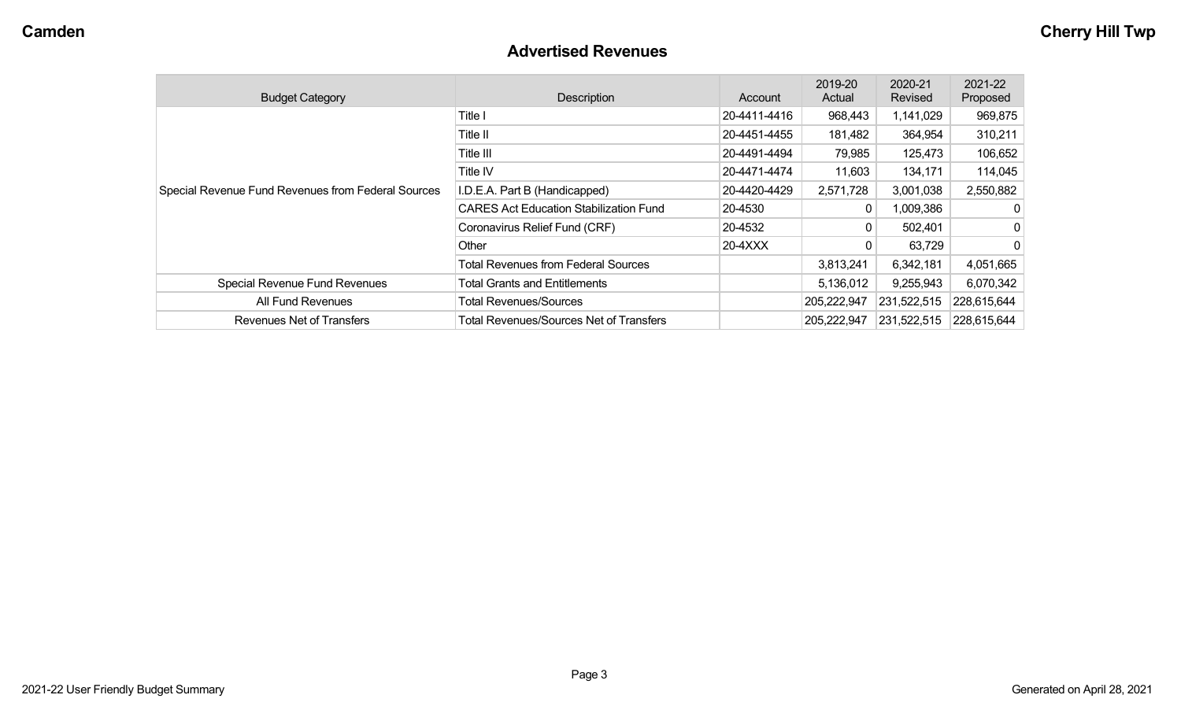#### **Advertised Revenues**

| <b>Budget Category</b>                             | Description                                    | Account      | 2019-20<br>Actual | 2020-21<br>Revised | 2021-22<br>Proposed |
|----------------------------------------------------|------------------------------------------------|--------------|-------------------|--------------------|---------------------|
|                                                    | Title I                                        | 20-4411-4416 | 968,443           | 1,141,029          | 969,875             |
|                                                    | Title II                                       | 20-4451-4455 | 181,482           | 364,954            | 310,211             |
|                                                    | Title III                                      | 20-4491-4494 | 79,985            | 125,473            | 106,652             |
|                                                    | <b>Title IV</b>                                | 20-4471-4474 | 11,603            | 134,171            | 114,045             |
| Special Revenue Fund Revenues from Federal Sources | I.D.E.A. Part B (Handicapped)                  | 20-4420-4429 | 2,571,728         | 3,001,038          | 2,550,882           |
|                                                    | <b>CARES Act Education Stabilization Fund</b>  | 20-4530      |                   | 1,009,386          | 0                   |
|                                                    | Coronavirus Relief Fund (CRF)                  | 20-4532      |                   | 502,401            | 0                   |
|                                                    | Other                                          | 20-4XXX      |                   | 63,729             | 0                   |
|                                                    | <b>Total Revenues from Federal Sources</b>     |              | 3,813,241         | 6,342,181          | 4,051,665           |
| Special Revenue Fund Revenues                      | <b>Total Grants and Entitlements</b>           |              | 5,136,012         | 9,255,943          | 6,070,342           |
| All Fund Revenues                                  | <b>Total Revenues/Sources</b>                  |              | 205,222,947       | 231,522,515        | 228,615,644         |
| Revenues Net of Transfers                          | <b>Total Revenues/Sources Net of Transfers</b> |              | 205,222,947       | 231,522,515        | 228,615,644         |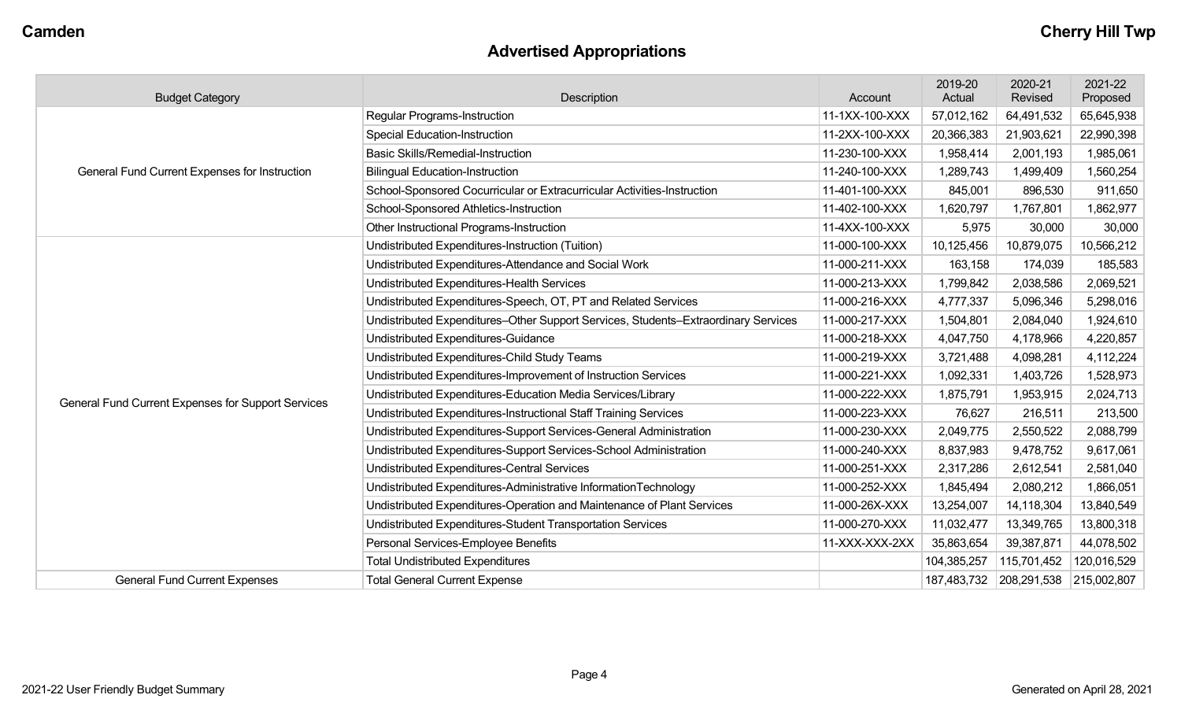# **Advertised Appropriations**

| <b>Budget Category</b>                             | Description                                                                        | Account        | 2019-20<br>Actual | 2020-21<br>Revised | 2021-22<br>Proposed |
|----------------------------------------------------|------------------------------------------------------------------------------------|----------------|-------------------|--------------------|---------------------|
|                                                    | <b>Regular Programs-Instruction</b>                                                | 11-1XX-100-XXX | 57,012,162        | 64,491,532         | 65,645,938          |
|                                                    | <b>Special Education-Instruction</b>                                               | 11-2XX-100-XXX | 20,366,383        | 21,903,621         | 22,990,398          |
|                                                    | <b>Basic Skills/Remedial-Instruction</b>                                           | 11-230-100-XXX | 1,958,414         | 2,001,193          | 1,985,061           |
| General Fund Current Expenses for Instruction      | <b>Bilingual Education-Instruction</b>                                             | 11-240-100-XXX | 1,289,743         | 1,499,409          | 1,560,254           |
|                                                    | School-Sponsored Cocurricular or Extracurricular Activities-Instruction            | 11-401-100-XXX | 845,001           | 896,530            | 911,650             |
|                                                    | School-Sponsored Athletics-Instruction                                             | 11-402-100-XXX | 1,620,797         | 1,767,801          | 1,862,977           |
|                                                    | Other Instructional Programs-Instruction                                           | 11-4XX-100-XXX | 5,975             | 30,000             | 30,000              |
|                                                    | Undistributed Expenditures-Instruction (Tuition)                                   | 11-000-100-XXX | 10,125,456        | 10,879,075         | 10,566,212          |
|                                                    | Undistributed Expenditures-Attendance and Social Work                              | 11-000-211-XXX | 163,158           | 174,039            | 185,583             |
|                                                    | Undistributed Expenditures-Health Services                                         | 11-000-213-XXX | 1,799,842         | 2,038,586          | 2,069,521           |
|                                                    | Undistributed Expenditures-Speech, OT, PT and Related Services                     | 11-000-216-XXX | 4,777,337         | 5,096,346          | 5,298,016           |
|                                                    | Undistributed Expenditures-Other Support Services, Students-Extraordinary Services | 11-000-217-XXX | 1,504,801         | 2,084,040          | 1,924,610           |
|                                                    | Undistributed Expenditures-Guidance                                                | 11-000-218-XXX | 4,047,750         | 4,178,966          | 4,220,857           |
|                                                    | Undistributed Expenditures-Child Study Teams                                       | 11-000-219-XXX | 3,721,488         | 4,098,281          | 4,112,224           |
|                                                    | Undistributed Expenditures-Improvement of Instruction Services                     | 11-000-221-XXX | 1,092,331         | 1,403,726          | 1,528,973           |
| General Fund Current Expenses for Support Services | Undistributed Expenditures-Education Media Services/Library                        | 11-000-222-XXX | 1,875,791         | 1,953,915          | 2,024,713           |
|                                                    | Undistributed Expenditures-Instructional Staff Training Services                   | 11-000-223-XXX | 76,627            | 216,511            | 213,500             |
|                                                    | Undistributed Expenditures-Support Services-General Administration                 | 11-000-230-XXX | 2,049,775         | 2,550,522          | 2,088,799           |
|                                                    | Undistributed Expenditures-Support Services-School Administration                  | 11-000-240-XXX | 8,837,983         | 9,478,752          | 9,617,061           |
|                                                    | Undistributed Expenditures-Central Services                                        | 11-000-251-XXX | 2,317,286         | 2,612,541          | 2,581,040           |
|                                                    | Undistributed Expenditures-Administrative InformationTechnology                    | 11-000-252-XXX | 1,845,494         | 2,080,212          | 1,866,051           |
|                                                    | Undistributed Expenditures-Operation and Maintenance of Plant Services             | 11-000-26X-XXX | 13,254,007        | 14,118,304         | 13,840,549          |
|                                                    | Undistributed Expenditures-Student Transportation Services                         | 11-000-270-XXX | 11,032,477        | 13,349,765         | 13,800,318          |
|                                                    | Personal Services-Employee Benefits                                                | 11-XXX-XXX-2XX | 35,863,654        | 39,387,871         | 44,078,502          |
|                                                    | <b>Total Undistributed Expenditures</b>                                            |                | 104,385,257       | 115,701,452        | 120,016,529         |
| <b>General Fund Current Expenses</b>               | <b>Total General Current Expense</b>                                               |                | 187,483,732       | 208,291,538        | 215,002,807         |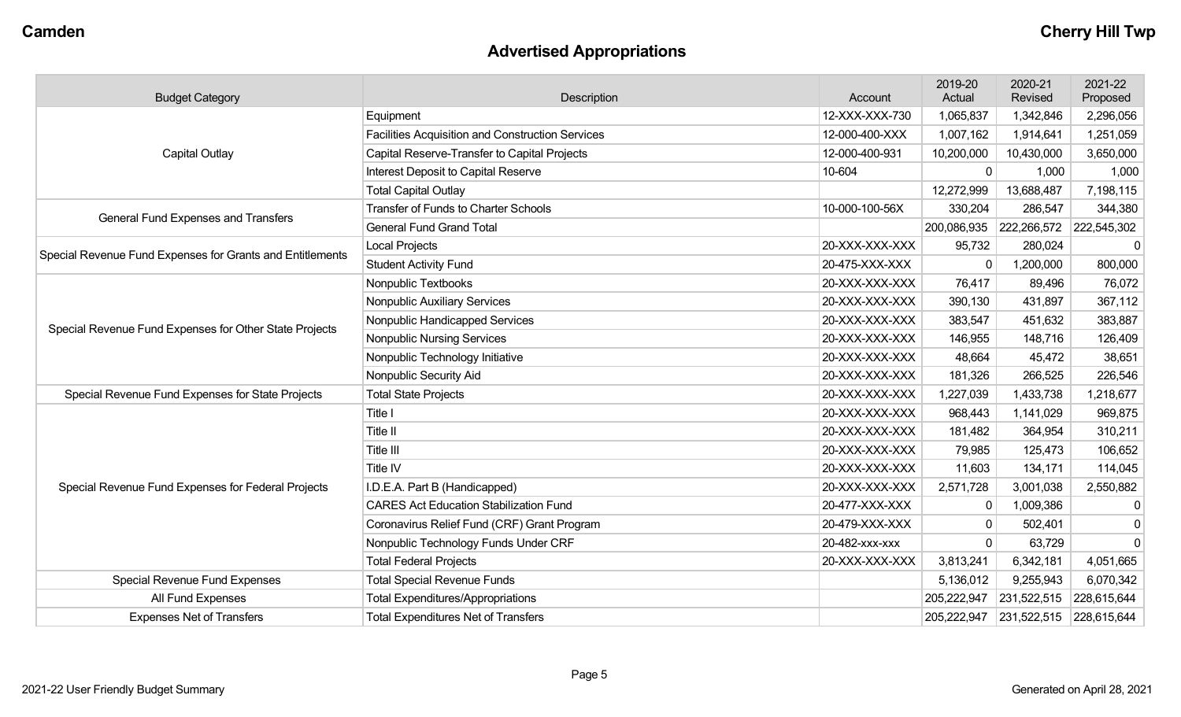# **Advertised Appropriations**

| <b>Budget Category</b>                                    | Description                                      | Account        | 2019-20<br>Actual | 2020-21<br>Revised | 2021-22<br>Proposed |
|-----------------------------------------------------------|--------------------------------------------------|----------------|-------------------|--------------------|---------------------|
|                                                           | Equipment                                        | 12-XXX-XXX-730 | 1,065,837         | 1,342,846          | 2,296,056           |
|                                                           | Facilities Acquisition and Construction Services | 12-000-400-XXX | 1,007,162         | 1,914,641          | 1,251,059           |
| Capital Outlay                                            | Capital Reserve-Transfer to Capital Projects     | 12-000-400-931 | 10,200,000        | 10,430,000         | 3,650,000           |
|                                                           | Interest Deposit to Capital Reserve              | 10-604         | $\mathbf{0}$      | 1,000              | 1,000               |
|                                                           | <b>Total Capital Outlay</b>                      |                | 12,272,999        | 13,688,487         | 7,198,115           |
| General Fund Expenses and Transfers                       | <b>Transfer of Funds to Charter Schools</b>      | 10-000-100-56X | 330,204           | 286,547            | 344,380             |
|                                                           | <b>General Fund Grand Total</b>                  |                | 200,086,935       | 222,266,572        | 222,545,302         |
| Special Revenue Fund Expenses for Grants and Entitlements | <b>Local Projects</b>                            | 20-XXX-XXX-XXX | 95,732            | 280,024            | $\Omega$            |
|                                                           | <b>Student Activity Fund</b>                     | 20-475-XXX-XXX | 0                 | 1,200,000          | 800,000             |
|                                                           | Nonpublic Textbooks                              | 20-XXX-XXX-XXX | 76,417            | 89,496             | 76,072              |
|                                                           | Nonpublic Auxiliary Services                     | 20-XXX-XXX-XXX | 390,130           | 431,897            | 367,112             |
| Special Revenue Fund Expenses for Other State Projects    | Nonpublic Handicapped Services                   | 20-XXX-XXX-XXX | 383,547           | 451,632            | 383,887             |
|                                                           | <b>Nonpublic Nursing Services</b>                | 20-XXX-XXX-XXX | 146,955           | 148,716            | 126,409             |
|                                                           | Nonpublic Technology Initiative                  | 20-XXX-XXX-XXX | 48,664            | 45,472             | 38,651              |
|                                                           | Nonpublic Security Aid                           | 20-XXX-XXX-XXX | 181,326           | 266,525            | 226,546             |
| Special Revenue Fund Expenses for State Projects          | <b>Total State Projects</b>                      | 20-XXX-XXX-XXX | 1,227,039         | 1,433,738          | 1,218,677           |
|                                                           | Title I                                          | 20-XXX-XXX-XXX | 968,443           | 1,141,029          | 969,875             |
|                                                           | Title II                                         | 20-XXX-XXX-XXX | 181,482           | 364,954            | 310,211             |
|                                                           | Title III                                        | 20-XXX-XXX-XXX | 79,985            | 125,473            | 106,652             |
|                                                           | Title IV                                         | 20-XXX-XXX-XXX | 11,603            | 134,171            | 114,045             |
| Special Revenue Fund Expenses for Federal Projects        | I.D.E.A. Part B (Handicapped)                    | 20-XXX-XXX-XXX | 2,571,728         | 3,001,038          | 2,550,882           |
|                                                           | <b>CARES Act Education Stabilization Fund</b>    | 20-477-XXX-XXX | 0                 | 1,009,386          | $\mathbf 0$         |
|                                                           | Coronavirus Relief Fund (CRF) Grant Program      | 20-479-XXX-XXX | 0                 | 502,401            | 0                   |
|                                                           | Nonpublic Technology Funds Under CRF             | 20-482-xxx-xxx | $\Omega$          | 63,729             | $\Omega$            |
|                                                           | <b>Total Federal Projects</b>                    | 20-XXX-XXX-XXX | 3,813,241         | 6,342,181          | 4,051,665           |
| Special Revenue Fund Expenses                             | <b>Total Special Revenue Funds</b>               |                | 5,136,012         | 9,255,943          | 6,070,342           |
| All Fund Expenses                                         | <b>Total Expenditures/Appropriations</b>         |                | 205,222,947       | 231,522,515        | 228,615,644         |
| <b>Expenses Net of Transfers</b>                          | <b>Total Expenditures Net of Transfers</b>       |                | 205,222,947       | 231,522,515        | 228,615,644         |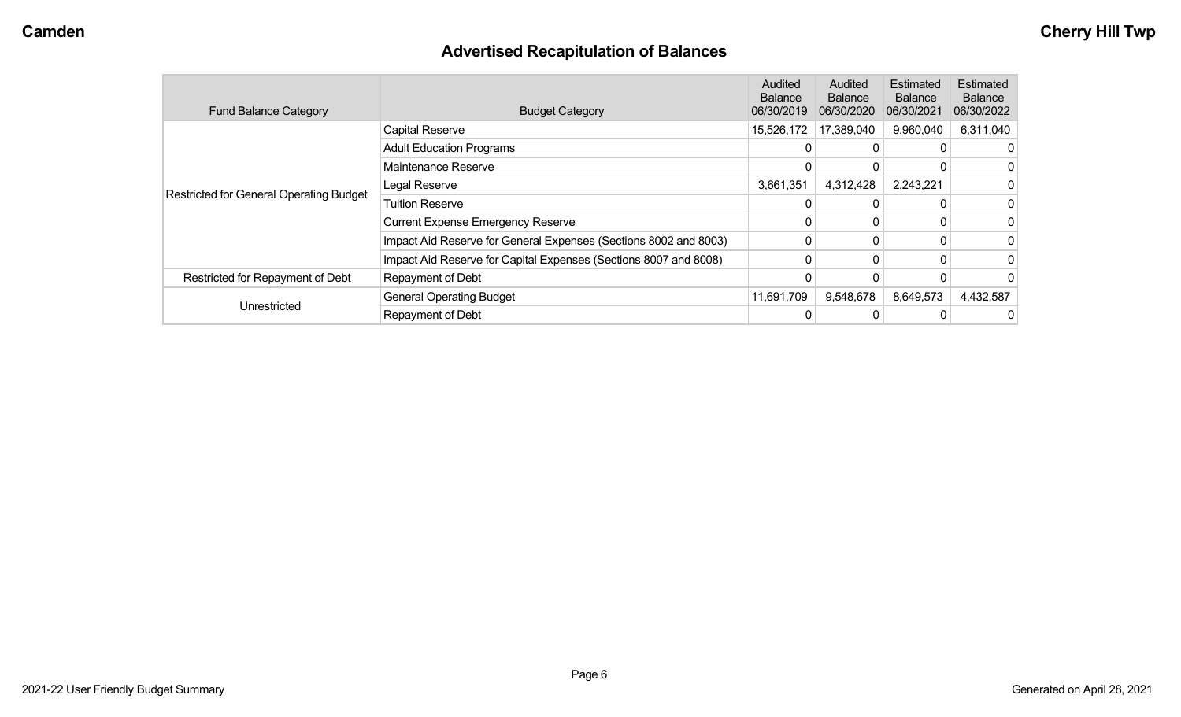# **Advertised Recapitulation of Balances**

| <b>Fund Balance Category</b>            | <b>Budget Category</b>                                           | Audited<br><b>Balance</b><br>06/30/2019 | Audited<br><b>Balance</b><br>06/30/2020 | Estimated<br><b>Balance</b><br>06/30/2021 | <b>Estimated</b><br><b>Balance</b><br>06/30/2022 |
|-----------------------------------------|------------------------------------------------------------------|-----------------------------------------|-----------------------------------------|-------------------------------------------|--------------------------------------------------|
|                                         | Capital Reserve                                                  | 15,526,172                              | 17,389,040                              | 9,960,040                                 | 6,311,040                                        |
|                                         | <b>Adult Education Programs</b>                                  | 0                                       | $\Omega$                                |                                           |                                                  |
|                                         | Maintenance Reserve                                              |                                         |                                         |                                           |                                                  |
| Restricted for General Operating Budget | Legal Reserve                                                    | 3,661,351                               | 4,312,428                               | 2,243,221                                 |                                                  |
|                                         | <b>Tuition Reserve</b>                                           | 0                                       | 0                                       |                                           |                                                  |
|                                         | <b>Current Expense Emergency Reserve</b>                         | 0                                       | 0                                       |                                           |                                                  |
|                                         | Impact Aid Reserve for General Expenses (Sections 8002 and 8003) | 0                                       | 0                                       |                                           |                                                  |
|                                         | Impact Aid Reserve for Capital Expenses (Sections 8007 and 8008) | 0                                       | 0                                       |                                           |                                                  |
| Restricted for Repayment of Debt        | Repayment of Debt                                                |                                         |                                         |                                           |                                                  |
|                                         | <b>General Operating Budget</b>                                  | 11,691,709                              | 9,548,678                               | 8,649,573                                 | 4,432,587                                        |
| Unrestricted                            | Repayment of Debt                                                | 0                                       |                                         |                                           |                                                  |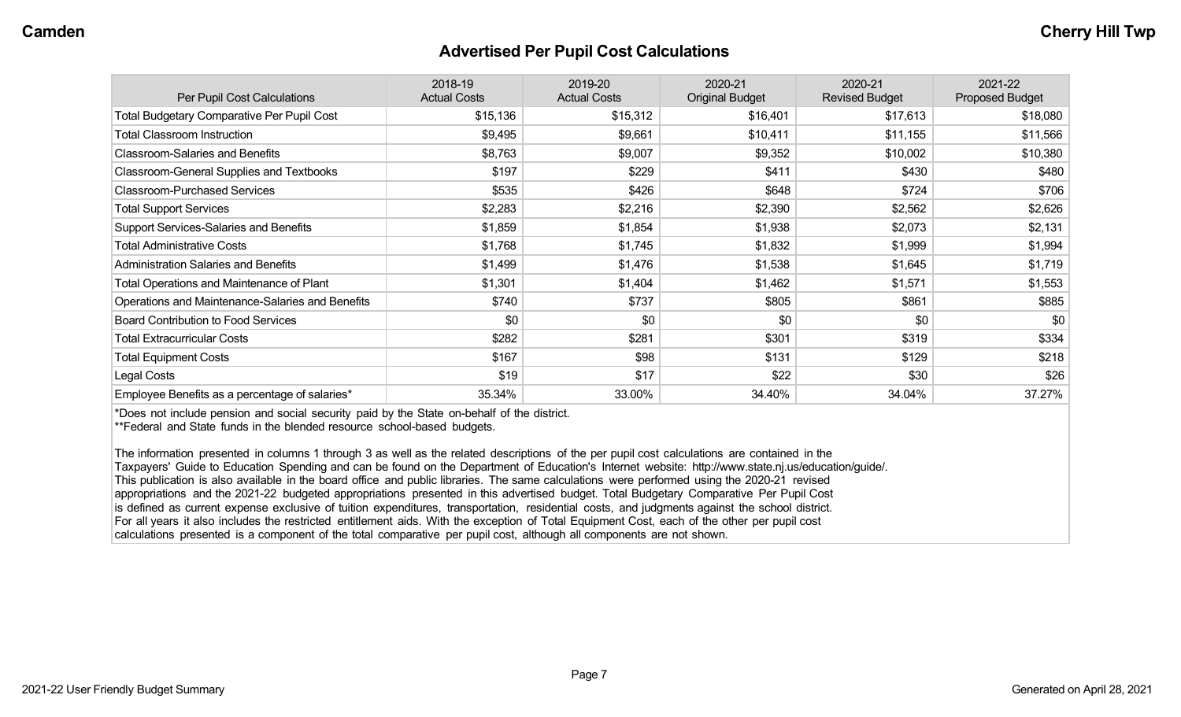#### **Advertised Per Pupil Cost Calculations**

| Per Pupil Cost Calculations                       | 2018-19<br><b>Actual Costs</b> | 2019-20<br><b>Actual Costs</b> | 2020-21<br><b>Original Budget</b> | 2020-21<br><b>Revised Budget</b> | 2021-22<br><b>Proposed Budget</b> |
|---------------------------------------------------|--------------------------------|--------------------------------|-----------------------------------|----------------------------------|-----------------------------------|
| <b>Total Budgetary Comparative Per Pupil Cost</b> | \$15,136                       | \$15,312                       | \$16,401                          | \$17,613                         | \$18,080                          |
| <b>Total Classroom Instruction</b>                | \$9,495                        | \$9,661                        | \$10,411                          | \$11,155                         | \$11,566                          |
| <b>Classroom-Salaries and Benefits</b>            | \$8,763                        | \$9,007                        | \$9,352                           | \$10,002                         | \$10,380                          |
| Classroom-General Supplies and Textbooks          | \$197                          | \$229                          | \$411                             | \$430                            | \$480                             |
| <b>Classroom-Purchased Services</b>               | \$535                          | \$426                          | \$648                             | \$724                            | \$706                             |
| <b>Total Support Services</b>                     | \$2,283                        | \$2,216                        | \$2,390                           | \$2,562                          | \$2,626                           |
| Support Services-Salaries and Benefits            | \$1,859                        | \$1,854                        | \$1,938                           | \$2,073                          | \$2,131                           |
| <b>Total Administrative Costs</b>                 | \$1,768                        | \$1,745                        | \$1,832                           | \$1,999                          | \$1,994                           |
| <b>Administration Salaries and Benefits</b>       | \$1,499                        | \$1,476                        | \$1,538                           | \$1,645                          | \$1,719                           |
| Total Operations and Maintenance of Plant         | \$1,301                        | \$1,404                        | \$1,462                           | \$1,571                          | \$1,553                           |
| Operations and Maintenance-Salaries and Benefits  | \$740                          | \$737                          | \$805                             | \$861                            | \$885                             |
| <b>Board Contribution to Food Services</b>        | \$0                            | \$0                            | \$0                               | \$0                              | \$0                               |
| <b>Total Extracurricular Costs</b>                | \$282                          | \$281                          | \$301                             | \$319                            | \$334                             |
| <b>Total Equipment Costs</b>                      | \$167                          | \$98                           | \$131                             | \$129                            | \$218                             |
| Legal Costs                                       | \$19                           | \$17                           | \$22                              | \$30                             | \$26                              |
| Employee Benefits as a percentage of salaries*    | 35.34%                         | 33.00%                         | 34.40%                            | 34.04%                           | 37.27%                            |

\*Does not include pension and social security paid by the State on-behalf of the district.

\*\*Federal and State funds in the blended resource school-based budgets.

The information presented in columns 1 through 3 as well as the related descriptions of the per pupil cost calculations are contained in the Taxpayers' Guide to Education Spending and can be found on the Department of Education's Internet website: http://www.state.nj.us/education/guide/. This publication is also available in the board office and public libraries. The same calculations were performed using the 2020-21 revised appropriations and the 2021-22 budgeted appropriations presented in this advertised budget. Total Budgetary Comparative Per Pupil Cost is defined as current expense exclusive of tuition expenditures, transportation, residential costs, and judgments against the school district. For all years it also includes the restricted entitlement aids. With the exception of Total Equipment Cost, each of the other per pupil cost calculations presented is a component of the total comparative per pupil cost, although all components are not shown.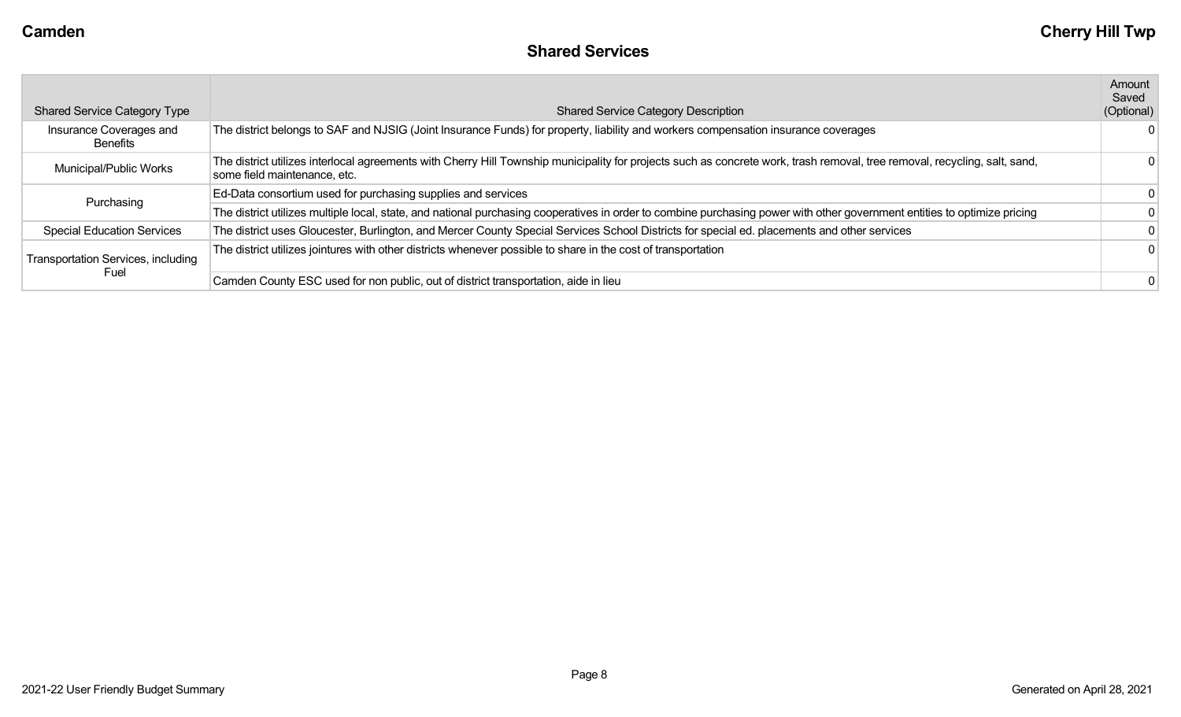| <b>Shared Service Category Type</b>       | <b>Shared Service Category Description</b>                                                                                                                                                                 | Amount<br>Saved<br>(Optional) |
|-------------------------------------------|------------------------------------------------------------------------------------------------------------------------------------------------------------------------------------------------------------|-------------------------------|
| Insurance Coverages and<br>Benefits       | The district belongs to SAF and NJSIG (Joint Insurance Funds) for property, liability and workers compensation insurance coverages                                                                         | 0                             |
| Municipal/Public Works                    | The district utilizes interlocal agreements with Cherry Hill Township municipality for projects such as concrete work, trash removal, tree removal, recycling, salt, sand,<br>some field maintenance, etc. | 0                             |
| Purchasing                                | Ed-Data consortium used for purchasing supplies and services                                                                                                                                               | 0                             |
|                                           | The district utilizes multiple local, state, and national purchasing cooperatives in order to combine purchasing power with other government entities to optimize pricing                                  | 0                             |
| <b>Special Education Services</b>         | The district uses Gloucester, Burlington, and Mercer County Special Services School Districts for special ed. placements and other services                                                                |                               |
| <b>Transportation Services, including</b> | The district utilizes jointures with other districts whenever possible to share in the cost of transportation                                                                                              | 0                             |
| Fuel                                      | Camden County ESC used for non public, out of district transportation, aide in lieu                                                                                                                        | 0                             |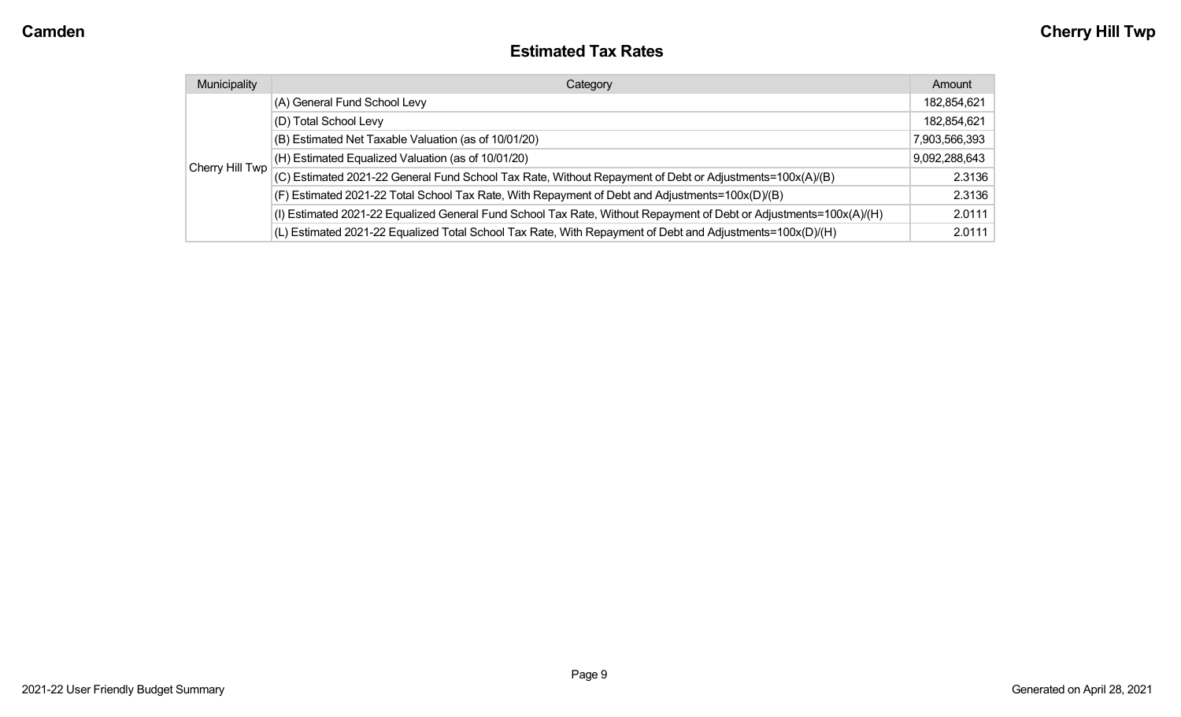#### **Estimated Tax Rates**

| Municipality    | Category                                                                                                           | Amount        |
|-----------------|--------------------------------------------------------------------------------------------------------------------|---------------|
|                 | (A) General Fund School Levy                                                                                       | 182,854,621   |
|                 | (D) Total School Levy                                                                                              | 182,854,621   |
|                 | (B) Estimated Net Taxable Valuation (as of 10/01/20)                                                               | 7,903,566,393 |
|                 | (H) Estimated Equalized Valuation (as of 10/01/20)                                                                 | 9,092,288,643 |
| Cherry Hill Twp | (C) Estimated 2021-22 General Fund School Tax Rate, Without Repayment of Debt or Adjustments=100x(A)/(B)           | 2.3136        |
|                 | (F) Estimated 2021-22 Total School Tax Rate, With Repayment of Debt and Adjustments=100x(D)/(B)                    | 2.3136        |
|                 | (I) Estimated 2021-22 Equalized General Fund School Tax Rate, Without Repayment of Debt or Adjustments=100x(A)/(H) | 2.0111        |
|                 | (L) Estimated 2021-22 Equalized Total School Tax Rate, With Repayment of Debt and Adjustments=100x(D)/(H)          | 2.0111        |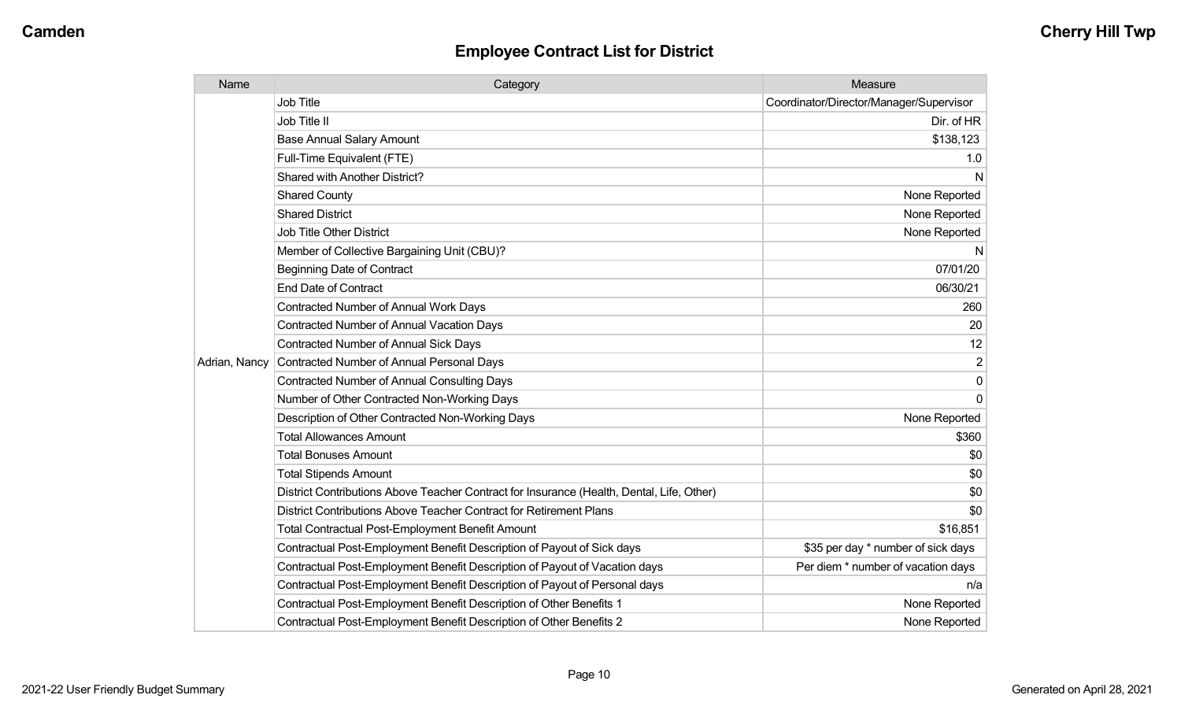| Name          | Category                                                                                  | Measure                                 |
|---------------|-------------------------------------------------------------------------------------------|-----------------------------------------|
|               | <b>Job Title</b>                                                                          | Coordinator/Director/Manager/Supervisor |
|               | Job Title II                                                                              | Dir. of HR                              |
|               | <b>Base Annual Salary Amount</b>                                                          | \$138,123                               |
|               | Full-Time Equivalent (FTE)                                                                | 1.0                                     |
|               | Shared with Another District?                                                             | N                                       |
|               | <b>Shared County</b>                                                                      | None Reported                           |
|               | <b>Shared District</b>                                                                    | None Reported                           |
|               | <b>Job Title Other District</b>                                                           | None Reported                           |
|               | Member of Collective Bargaining Unit (CBU)?                                               | N                                       |
|               | <b>Beginning Date of Contract</b>                                                         | 07/01/20                                |
|               | <b>End Date of Contract</b>                                                               | 06/30/21                                |
|               | Contracted Number of Annual Work Days                                                     | 260                                     |
|               | <b>Contracted Number of Annual Vacation Days</b>                                          | 20                                      |
|               | <b>Contracted Number of Annual Sick Days</b>                                              | 12                                      |
| Adrian, Nancy | <b>Contracted Number of Annual Personal Days</b>                                          | $\overline{2}$                          |
|               | <b>Contracted Number of Annual Consulting Days</b>                                        | 0                                       |
|               | Number of Other Contracted Non-Working Days                                               | $\Omega$                                |
|               | Description of Other Contracted Non-Working Days                                          | None Reported                           |
|               | <b>Total Allowances Amount</b>                                                            | \$360                                   |
|               | <b>Total Bonuses Amount</b>                                                               | \$0                                     |
|               | <b>Total Stipends Amount</b>                                                              | \$0                                     |
|               | District Contributions Above Teacher Contract for Insurance (Health, Dental, Life, Other) | \$0                                     |
|               | District Contributions Above Teacher Contract for Retirement Plans                        | \$0                                     |
|               | <b>Total Contractual Post-Employment Benefit Amount</b>                                   | \$16,851                                |
|               | Contractual Post-Employment Benefit Description of Payout of Sick days                    | \$35 per day * number of sick days      |
|               | Contractual Post-Employment Benefit Description of Payout of Vacation days                | Per diem * number of vacation days      |
|               | Contractual Post-Employment Benefit Description of Payout of Personal days                | n/a                                     |
|               | Contractual Post-Employment Benefit Description of Other Benefits 1                       | None Reported                           |
|               | Contractual Post-Employment Benefit Description of Other Benefits 2                       | None Reported                           |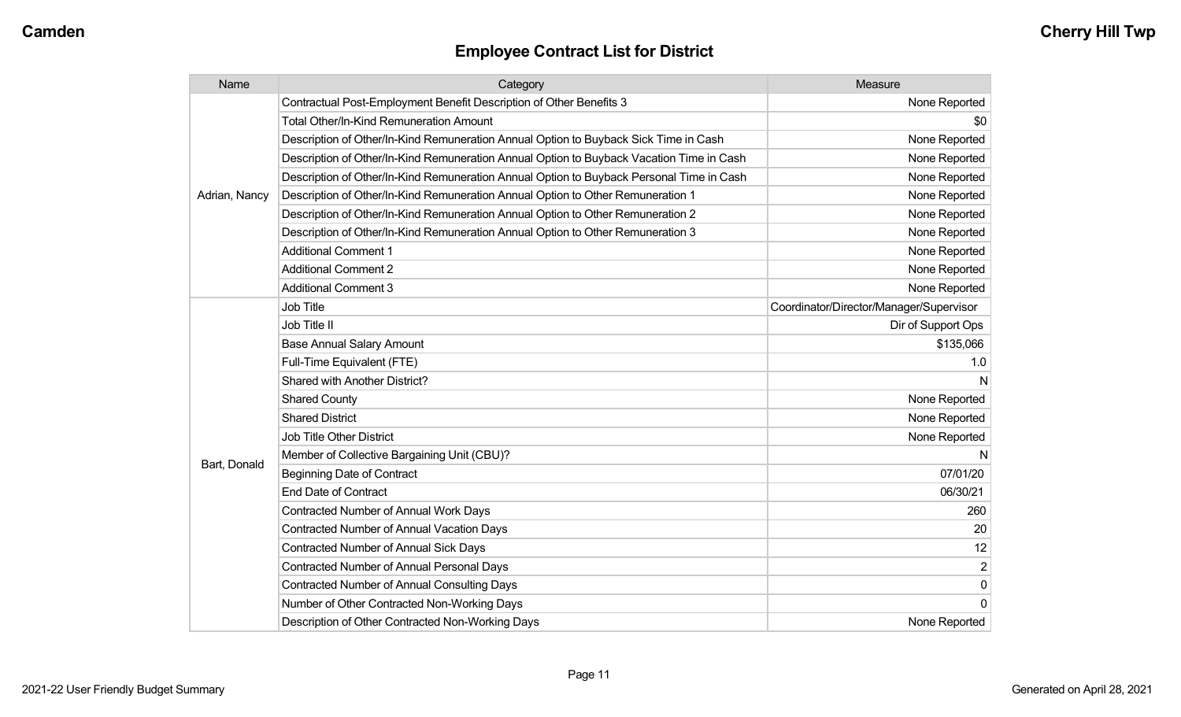| Name          | Category                                                                                 | Measure                                 |
|---------------|------------------------------------------------------------------------------------------|-----------------------------------------|
|               | Contractual Post-Employment Benefit Description of Other Benefits 3                      | None Reported                           |
|               | Total Other/In-Kind Remuneration Amount                                                  | \$0                                     |
|               | Description of Other/In-Kind Remuneration Annual Option to Buyback Sick Time in Cash     | None Reported                           |
|               | Description of Other/In-Kind Remuneration Annual Option to Buyback Vacation Time in Cash | None Reported                           |
|               | Description of Other/In-Kind Remuneration Annual Option to Buyback Personal Time in Cash | None Reported                           |
| Adrian, Nancy | Description of Other/In-Kind Remuneration Annual Option to Other Remuneration 1          | None Reported                           |
|               | Description of Other/In-Kind Remuneration Annual Option to Other Remuneration 2          | None Reported                           |
|               | Description of Other/In-Kind Remuneration Annual Option to Other Remuneration 3          | None Reported                           |
|               | <b>Additional Comment 1</b>                                                              | None Reported                           |
|               | <b>Additional Comment 2</b>                                                              | None Reported                           |
|               | <b>Additional Comment 3</b>                                                              | None Reported                           |
|               | <b>Job Title</b>                                                                         | Coordinator/Director/Manager/Supervisor |
|               | Job Title II                                                                             | Dir of Support Ops                      |
|               | <b>Base Annual Salary Amount</b>                                                         | \$135,066                               |
|               | Full-Time Equivalent (FTE)                                                               | 1.0                                     |
|               | Shared with Another District?                                                            |                                         |
|               | <b>Shared County</b>                                                                     | None Reported                           |
|               | <b>Shared District</b>                                                                   | None Reported                           |
|               | <b>Job Title Other District</b>                                                          | None Reported                           |
|               | Member of Collective Bargaining Unit (CBU)?                                              |                                         |
| Bart, Donald  | <b>Beginning Date of Contract</b>                                                        | 07/01/20                                |
|               | End Date of Contract                                                                     | 06/30/21                                |
|               | <b>Contracted Number of Annual Work Days</b>                                             | 260                                     |
|               | <b>Contracted Number of Annual Vacation Days</b>                                         | 20                                      |
|               | <b>Contracted Number of Annual Sick Days</b>                                             | 12                                      |
|               | Contracted Number of Annual Personal Days                                                | $\overline{2}$                          |
|               | <b>Contracted Number of Annual Consulting Days</b>                                       | $\mathbf 0$                             |
|               | Number of Other Contracted Non-Working Days                                              | $\Omega$                                |
|               | Description of Other Contracted Non-Working Days                                         | None Reported                           |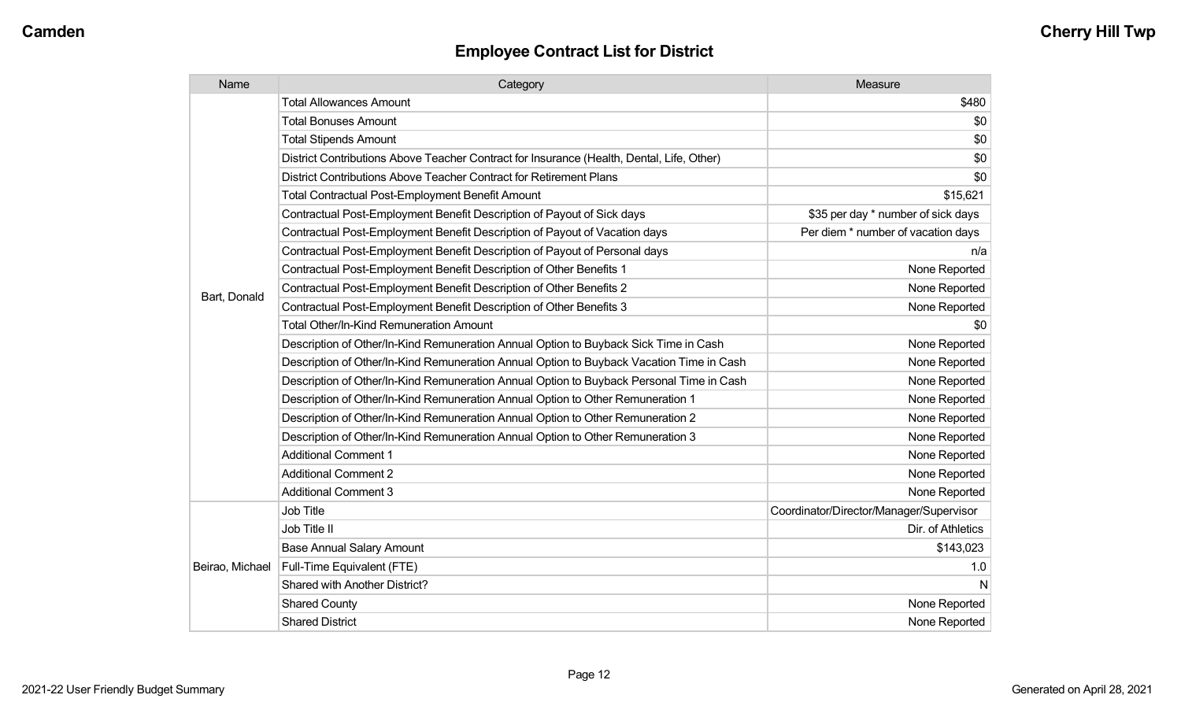| Name            | Category                                                                                  | Measure                                 |
|-----------------|-------------------------------------------------------------------------------------------|-----------------------------------------|
|                 | <b>Total Allowances Amount</b>                                                            | \$480                                   |
|                 | <b>Total Bonuses Amount</b>                                                               | \$0                                     |
|                 | <b>Total Stipends Amount</b>                                                              | \$0                                     |
|                 | District Contributions Above Teacher Contract for Insurance (Health, Dental, Life, Other) | \$0                                     |
|                 | District Contributions Above Teacher Contract for Retirement Plans                        | \$0                                     |
|                 | Total Contractual Post-Employment Benefit Amount                                          | \$15,621                                |
|                 | Contractual Post-Employment Benefit Description of Payout of Sick days                    | \$35 per day * number of sick days      |
|                 | Contractual Post-Employment Benefit Description of Payout of Vacation days                | Per diem * number of vacation days      |
|                 | Contractual Post-Employment Benefit Description of Payout of Personal days                | n/a                                     |
|                 | Contractual Post-Employment Benefit Description of Other Benefits 1                       | None Reported                           |
| Bart, Donald    | Contractual Post-Employment Benefit Description of Other Benefits 2                       | None Reported                           |
|                 | Contractual Post-Employment Benefit Description of Other Benefits 3                       | None Reported                           |
|                 | Total Other/In-Kind Remuneration Amount                                                   | \$0                                     |
|                 | Description of Other/In-Kind Remuneration Annual Option to Buyback Sick Time in Cash      | None Reported                           |
|                 | Description of Other/In-Kind Remuneration Annual Option to Buyback Vacation Time in Cash  | None Reported                           |
|                 | Description of Other/In-Kind Remuneration Annual Option to Buyback Personal Time in Cash  | None Reported                           |
|                 | Description of Other/In-Kind Remuneration Annual Option to Other Remuneration 1           | None Reported                           |
|                 | Description of Other/In-Kind Remuneration Annual Option to Other Remuneration 2           | None Reported                           |
|                 | Description of Other/In-Kind Remuneration Annual Option to Other Remuneration 3           | None Reported                           |
|                 | <b>Additional Comment 1</b>                                                               | None Reported                           |
|                 | <b>Additional Comment 2</b>                                                               | None Reported                           |
|                 | <b>Additional Comment 3</b>                                                               | None Reported                           |
|                 | Job Title                                                                                 | Coordinator/Director/Manager/Supervisor |
|                 | Job Title II                                                                              | Dir. of Athletics                       |
|                 | <b>Base Annual Salary Amount</b>                                                          | \$143,023                               |
| Beirao, Michael | Full-Time Equivalent (FTE)                                                                | 1.0                                     |
|                 | Shared with Another District?                                                             | N                                       |
|                 | <b>Shared County</b>                                                                      | None Reported                           |
|                 | <b>Shared District</b>                                                                    | None Reported                           |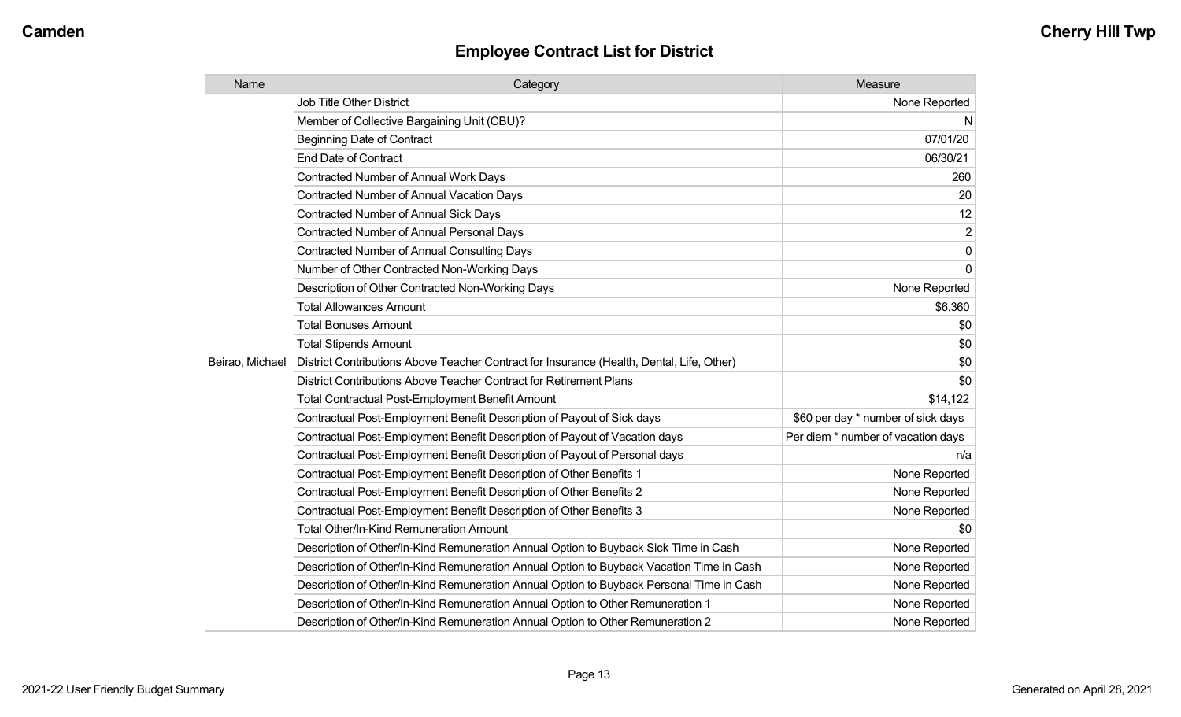| Name            | Category                                                                                  | Measure                            |
|-----------------|-------------------------------------------------------------------------------------------|------------------------------------|
|                 | <b>Job Title Other District</b>                                                           | None Reported                      |
|                 | Member of Collective Bargaining Unit (CBU)?                                               | N.                                 |
|                 | <b>Beginning Date of Contract</b>                                                         | 07/01/20                           |
|                 | <b>End Date of Contract</b>                                                               | 06/30/21                           |
|                 | <b>Contracted Number of Annual Work Days</b>                                              | 260                                |
|                 | <b>Contracted Number of Annual Vacation Days</b>                                          | 20                                 |
|                 | Contracted Number of Annual Sick Days                                                     | 12                                 |
|                 | <b>Contracted Number of Annual Personal Days</b>                                          | $\overline{c}$                     |
|                 | <b>Contracted Number of Annual Consulting Days</b>                                        | $\pmb{0}$                          |
|                 | Number of Other Contracted Non-Working Days                                               | $\mathbf{0}$                       |
|                 | Description of Other Contracted Non-Working Days                                          | None Reported                      |
|                 | <b>Total Allowances Amount</b>                                                            | \$6,360                            |
|                 | <b>Total Bonuses Amount</b>                                                               | \$0                                |
|                 | <b>Total Stipends Amount</b>                                                              | \$0                                |
| Beirao, Michael | District Contributions Above Teacher Contract for Insurance (Health, Dental, Life, Other) | \$0                                |
|                 | District Contributions Above Teacher Contract for Retirement Plans                        | \$0                                |
|                 | <b>Total Contractual Post-Employment Benefit Amount</b>                                   | \$14,122                           |
|                 | Contractual Post-Employment Benefit Description of Payout of Sick days                    | \$60 per day * number of sick days |
|                 | Contractual Post-Employment Benefit Description of Payout of Vacation days                | Per diem * number of vacation days |
|                 | Contractual Post-Employment Benefit Description of Payout of Personal days                | n/a                                |
|                 | Contractual Post-Employment Benefit Description of Other Benefits 1                       | None Reported                      |
|                 | Contractual Post-Employment Benefit Description of Other Benefits 2                       | None Reported                      |
|                 | Contractual Post-Employment Benefit Description of Other Benefits 3                       | None Reported                      |
|                 | Total Other/In-Kind Remuneration Amount                                                   | \$0                                |
|                 | Description of Other/In-Kind Remuneration Annual Option to Buyback Sick Time in Cash      | None Reported                      |
|                 | Description of Other/In-Kind Remuneration Annual Option to Buyback Vacation Time in Cash  | None Reported                      |
|                 | Description of Other/In-Kind Remuneration Annual Option to Buyback Personal Time in Cash  | None Reported                      |
|                 | Description of Other/In-Kind Remuneration Annual Option to Other Remuneration 1           | None Reported                      |
|                 | Description of Other/In-Kind Remuneration Annual Option to Other Remuneration 2           | None Reported                      |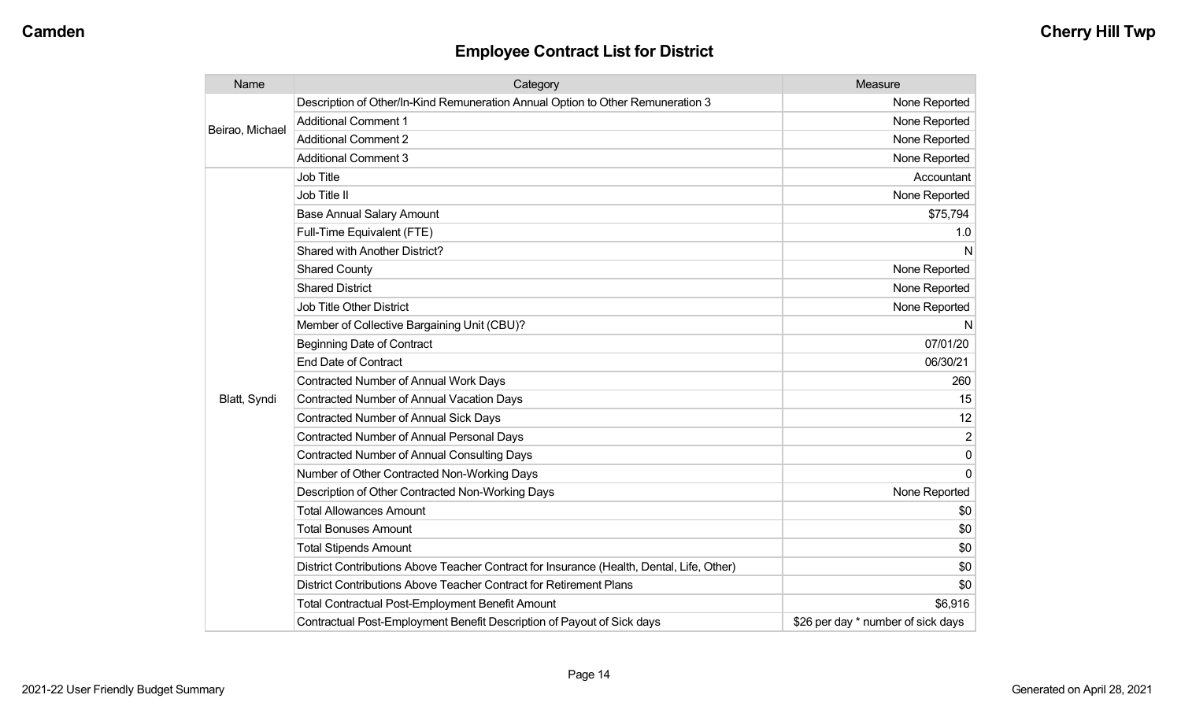| Name            | Category                                                                                  | Measure                            |
|-----------------|-------------------------------------------------------------------------------------------|------------------------------------|
|                 | Description of Other/In-Kind Remuneration Annual Option to Other Remuneration 3           | None Reported                      |
| Beirao, Michael | <b>Additional Comment 1</b>                                                               | None Reported                      |
|                 | <b>Additional Comment 2</b>                                                               | None Reported                      |
|                 | <b>Additional Comment 3</b>                                                               | None Reported                      |
|                 | <b>Job Title</b>                                                                          | Accountant                         |
|                 | Job Title II                                                                              | None Reported                      |
|                 | <b>Base Annual Salary Amount</b>                                                          | \$75,794                           |
|                 | Full-Time Equivalent (FTE)                                                                | 1.0                                |
|                 | Shared with Another District?                                                             | N                                  |
|                 | <b>Shared County</b>                                                                      | None Reported                      |
|                 | <b>Shared District</b>                                                                    | None Reported                      |
|                 | <b>Job Title Other District</b>                                                           | None Reported                      |
|                 | Member of Collective Bargaining Unit (CBU)?                                               | N                                  |
|                 | <b>Beginning Date of Contract</b>                                                         | 07/01/20                           |
|                 | <b>End Date of Contract</b>                                                               | 06/30/21                           |
|                 | Contracted Number of Annual Work Days                                                     | 260                                |
| Blatt, Syndi    | Contracted Number of Annual Vacation Days                                                 | 15                                 |
|                 | Contracted Number of Annual Sick Days                                                     | 12                                 |
|                 | Contracted Number of Annual Personal Days                                                 | $\overline{2}$                     |
|                 | <b>Contracted Number of Annual Consulting Days</b>                                        | $\Omega$                           |
|                 | Number of Other Contracted Non-Working Days                                               | $\Omega$                           |
|                 | Description of Other Contracted Non-Working Days                                          | None Reported                      |
|                 | <b>Total Allowances Amount</b>                                                            | \$0                                |
|                 | <b>Total Bonuses Amount</b>                                                               | \$0                                |
|                 | <b>Total Stipends Amount</b>                                                              | \$0                                |
|                 | District Contributions Above Teacher Contract for Insurance (Health, Dental, Life, Other) | \$0                                |
|                 | District Contributions Above Teacher Contract for Retirement Plans                        | \$0                                |
|                 | <b>Total Contractual Post-Employment Benefit Amount</b>                                   | \$6,916                            |
|                 | Contractual Post-Employment Benefit Description of Payout of Sick days                    | \$26 per day * number of sick days |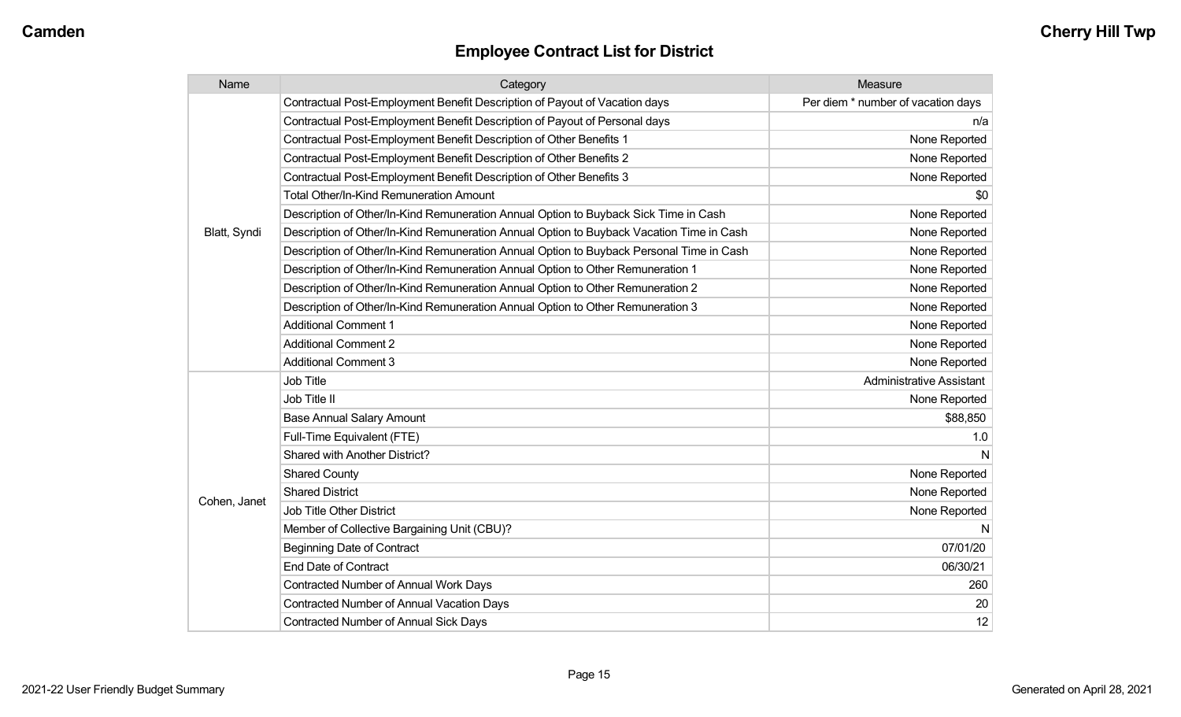| Name         | Category                                                                                 | Measure                            |
|--------------|------------------------------------------------------------------------------------------|------------------------------------|
|              | Contractual Post-Employment Benefit Description of Payout of Vacation days               | Per diem * number of vacation days |
|              | Contractual Post-Employment Benefit Description of Payout of Personal days               | n/a                                |
|              | Contractual Post-Employment Benefit Description of Other Benefits 1                      | None Reported                      |
|              | Contractual Post-Employment Benefit Description of Other Benefits 2                      | None Reported                      |
|              | Contractual Post-Employment Benefit Description of Other Benefits 3                      | None Reported                      |
|              | <b>Total Other/In-Kind Remuneration Amount</b>                                           | \$0                                |
|              | Description of Other/In-Kind Remuneration Annual Option to Buyback Sick Time in Cash     | None Reported                      |
| Blatt, Syndi | Description of Other/In-Kind Remuneration Annual Option to Buyback Vacation Time in Cash | None Reported                      |
|              | Description of Other/In-Kind Remuneration Annual Option to Buyback Personal Time in Cash | None Reported                      |
|              | Description of Other/In-Kind Remuneration Annual Option to Other Remuneration 1          | None Reported                      |
|              | Description of Other/In-Kind Remuneration Annual Option to Other Remuneration 2          | None Reported                      |
|              | Description of Other/In-Kind Remuneration Annual Option to Other Remuneration 3          | None Reported                      |
|              | <b>Additional Comment 1</b>                                                              | None Reported                      |
|              | <b>Additional Comment 2</b>                                                              | None Reported                      |
|              | <b>Additional Comment 3</b>                                                              | None Reported                      |
|              | <b>Job Title</b>                                                                         | <b>Administrative Assistant</b>    |
|              | Job Title II                                                                             | None Reported                      |
|              | <b>Base Annual Salary Amount</b>                                                         | \$88,850                           |
|              | Full-Time Equivalent (FTE)                                                               | 1.0                                |
|              | Shared with Another District?                                                            | N                                  |
|              | <b>Shared County</b>                                                                     | None Reported                      |
|              | <b>Shared District</b>                                                                   | None Reported                      |
| Cohen, Janet | <b>Job Title Other District</b>                                                          | None Reported                      |
|              | Member of Collective Bargaining Unit (CBU)?                                              | N                                  |
|              | <b>Beginning Date of Contract</b>                                                        | 07/01/20                           |
|              | <b>End Date of Contract</b>                                                              | 06/30/21                           |
|              | <b>Contracted Number of Annual Work Days</b>                                             | 260                                |
|              | Contracted Number of Annual Vacation Days                                                | 20                                 |
|              | Contracted Number of Annual Sick Days                                                    | 12                                 |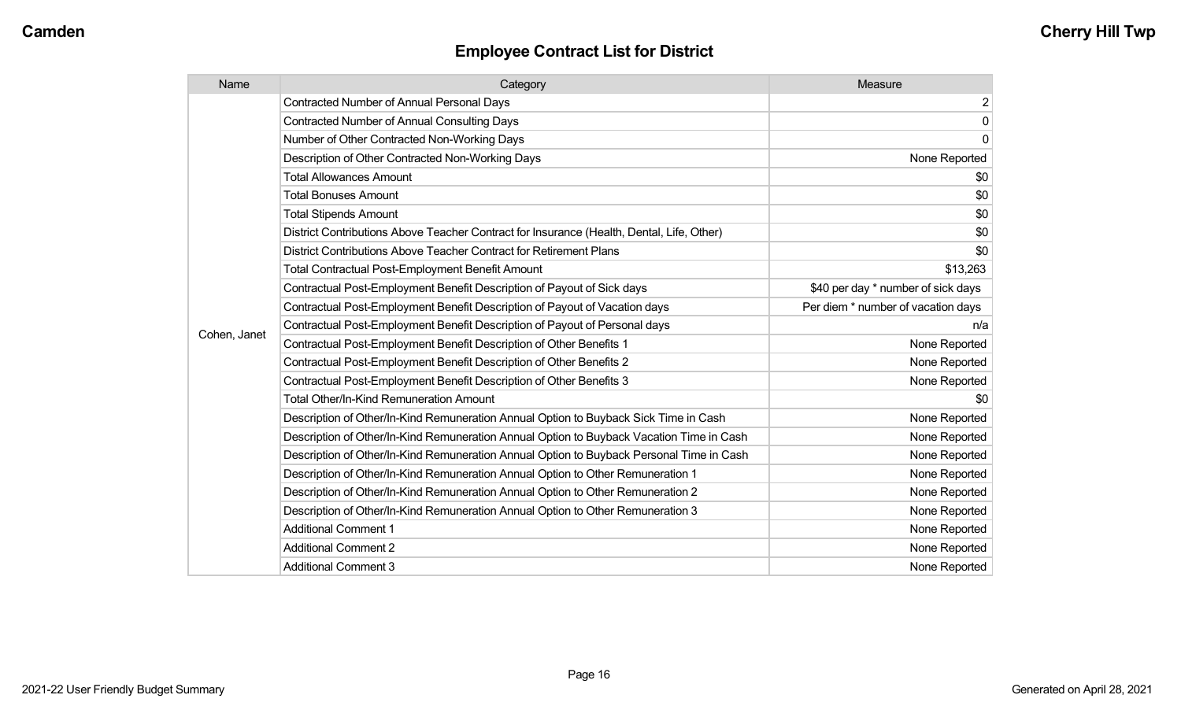| Name         | Category                                                                                  | Measure                            |
|--------------|-------------------------------------------------------------------------------------------|------------------------------------|
|              | <b>Contracted Number of Annual Personal Days</b>                                          | 2                                  |
|              | <b>Contracted Number of Annual Consulting Days</b>                                        | $\overline{0}$                     |
|              | Number of Other Contracted Non-Working Days                                               | $\overline{0}$                     |
|              | Description of Other Contracted Non-Working Days                                          | None Reported                      |
|              | <b>Total Allowances Amount</b>                                                            | \$0                                |
|              | <b>Total Bonuses Amount</b>                                                               | \$0                                |
|              | <b>Total Stipends Amount</b>                                                              | \$0                                |
|              | District Contributions Above Teacher Contract for Insurance (Health, Dental, Life, Other) | \$0                                |
|              | District Contributions Above Teacher Contract for Retirement Plans                        | \$0                                |
|              | <b>Total Contractual Post-Employment Benefit Amount</b>                                   | \$13,263                           |
|              | Contractual Post-Employment Benefit Description of Payout of Sick days                    | \$40 per day * number of sick days |
|              | Contractual Post-Employment Benefit Description of Payout of Vacation days                | Per diem * number of vacation days |
|              | Contractual Post-Employment Benefit Description of Payout of Personal days                | n/a                                |
| Cohen, Janet | Contractual Post-Employment Benefit Description of Other Benefits 1                       | None Reported                      |
|              | Contractual Post-Employment Benefit Description of Other Benefits 2                       | None Reported                      |
|              | Contractual Post-Employment Benefit Description of Other Benefits 3                       | None Reported                      |
|              | <b>Total Other/In-Kind Remuneration Amount</b>                                            | \$0                                |
|              | Description of Other/In-Kind Remuneration Annual Option to Buyback Sick Time in Cash      | None Reported                      |
|              | Description of Other/In-Kind Remuneration Annual Option to Buyback Vacation Time in Cash  | None Reported                      |
|              | Description of Other/In-Kind Remuneration Annual Option to Buyback Personal Time in Cash  | None Reported                      |
|              | Description of Other/In-Kind Remuneration Annual Option to Other Remuneration 1           | None Reported                      |
|              | Description of Other/In-Kind Remuneration Annual Option to Other Remuneration 2           | None Reported                      |
|              | Description of Other/In-Kind Remuneration Annual Option to Other Remuneration 3           | None Reported                      |
|              | <b>Additional Comment 1</b>                                                               | None Reported                      |
|              | <b>Additional Comment 2</b>                                                               | None Reported                      |
|              | <b>Additional Comment 3</b>                                                               | None Reported                      |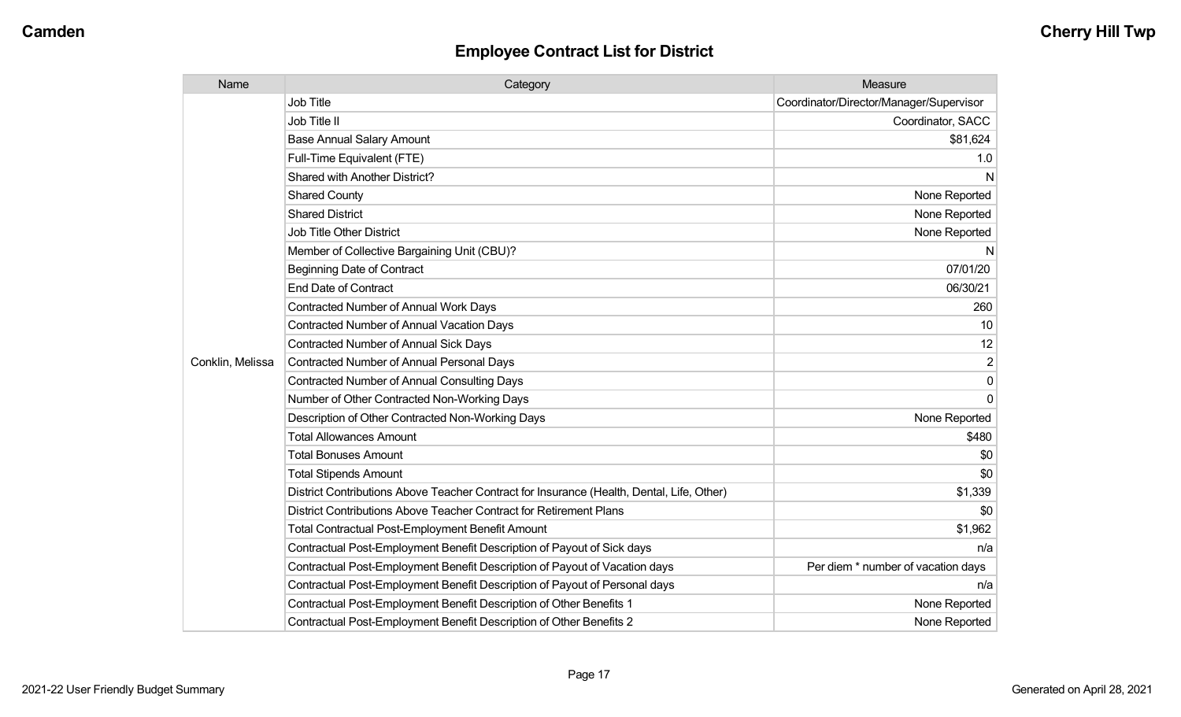| Name             | Category                                                                                  | Measure                                 |
|------------------|-------------------------------------------------------------------------------------------|-----------------------------------------|
|                  | <b>Job Title</b>                                                                          | Coordinator/Director/Manager/Supervisor |
|                  | Job Title II                                                                              | Coordinator, SACC                       |
|                  | <b>Base Annual Salary Amount</b>                                                          | \$81,624                                |
|                  | Full-Time Equivalent (FTE)                                                                | 1.0                                     |
|                  | Shared with Another District?                                                             | N                                       |
|                  | <b>Shared County</b>                                                                      | None Reported                           |
|                  | <b>Shared District</b>                                                                    | None Reported                           |
|                  | <b>Job Title Other District</b>                                                           | None Reported                           |
|                  | Member of Collective Bargaining Unit (CBU)?                                               | N                                       |
|                  | <b>Beginning Date of Contract</b>                                                         | 07/01/20                                |
|                  | <b>End Date of Contract</b>                                                               | 06/30/21                                |
|                  | <b>Contracted Number of Annual Work Days</b>                                              | 260                                     |
|                  | <b>Contracted Number of Annual Vacation Days</b>                                          | 10                                      |
|                  | <b>Contracted Number of Annual Sick Days</b>                                              | 12                                      |
| Conklin, Melissa | <b>Contracted Number of Annual Personal Days</b>                                          | 2                                       |
|                  | <b>Contracted Number of Annual Consulting Days</b>                                        | $\Omega$                                |
|                  | Number of Other Contracted Non-Working Days                                               | $\Omega$                                |
|                  | Description of Other Contracted Non-Working Days                                          | None Reported                           |
|                  | <b>Total Allowances Amount</b>                                                            | \$480                                   |
|                  | <b>Total Bonuses Amount</b>                                                               | \$0                                     |
|                  | <b>Total Stipends Amount</b>                                                              | \$0                                     |
|                  | District Contributions Above Teacher Contract for Insurance (Health, Dental, Life, Other) | \$1,339                                 |
|                  | District Contributions Above Teacher Contract for Retirement Plans                        | \$0                                     |
|                  | <b>Total Contractual Post-Employment Benefit Amount</b>                                   | \$1,962                                 |
|                  | Contractual Post-Employment Benefit Description of Payout of Sick days                    | n/a                                     |
|                  | Contractual Post-Employment Benefit Description of Payout of Vacation days                | Per diem * number of vacation days      |
|                  | Contractual Post-Employment Benefit Description of Payout of Personal days                | n/a                                     |
|                  | Contractual Post-Employment Benefit Description of Other Benefits 1                       | None Reported                           |
|                  | Contractual Post-Employment Benefit Description of Other Benefits 2                       | None Reported                           |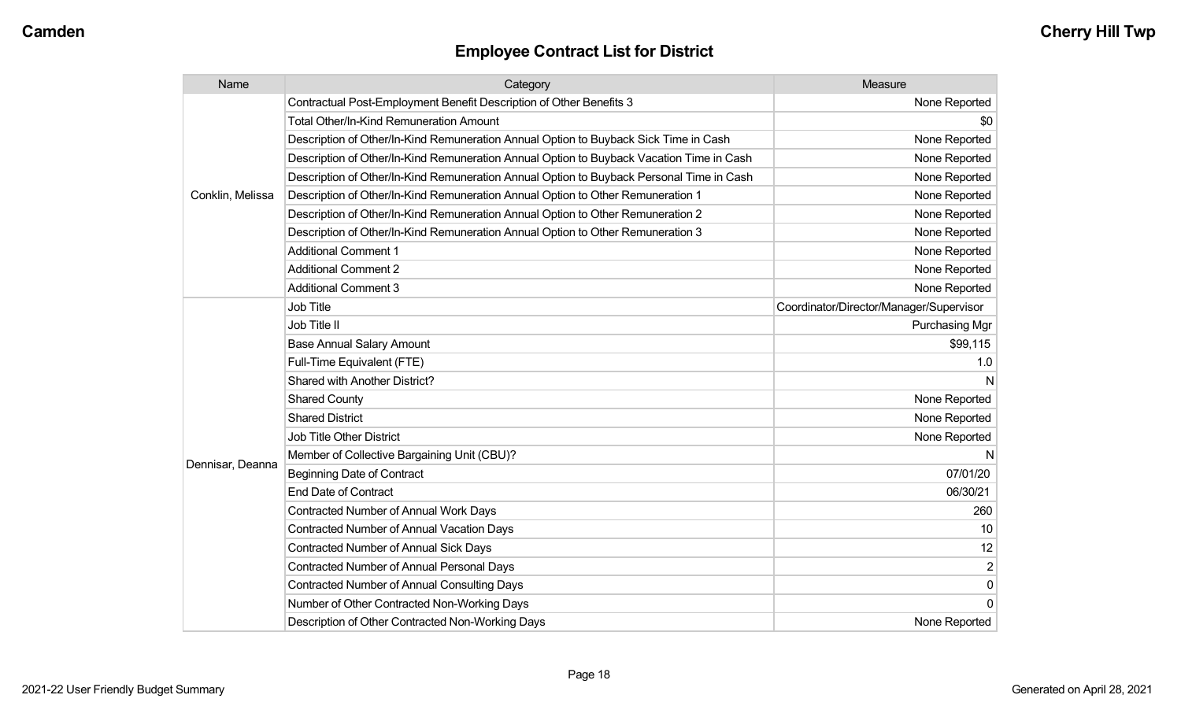| Name             | Category                                                                                 | Measure                                 |
|------------------|------------------------------------------------------------------------------------------|-----------------------------------------|
|                  | Contractual Post-Employment Benefit Description of Other Benefits 3                      | None Reported                           |
|                  | Total Other/In-Kind Remuneration Amount                                                  | \$0                                     |
|                  | Description of Other/In-Kind Remuneration Annual Option to Buyback Sick Time in Cash     | None Reported                           |
|                  | Description of Other/In-Kind Remuneration Annual Option to Buyback Vacation Time in Cash | None Reported                           |
|                  | Description of Other/In-Kind Remuneration Annual Option to Buyback Personal Time in Cash | None Reported                           |
| Conklin, Melissa | Description of Other/In-Kind Remuneration Annual Option to Other Remuneration 1          | None Reported                           |
|                  | Description of Other/In-Kind Remuneration Annual Option to Other Remuneration 2          | None Reported                           |
|                  | Description of Other/In-Kind Remuneration Annual Option to Other Remuneration 3          | None Reported                           |
|                  | <b>Additional Comment 1</b>                                                              | None Reported                           |
|                  | <b>Additional Comment 2</b>                                                              | None Reported                           |
|                  | <b>Additional Comment 3</b>                                                              | None Reported                           |
|                  | Job Title                                                                                | Coordinator/Director/Manager/Supervisor |
|                  | Job Title II                                                                             | <b>Purchasing Mgr</b>                   |
|                  | <b>Base Annual Salary Amount</b>                                                         | \$99,115                                |
|                  | Full-Time Equivalent (FTE)                                                               | 1.0                                     |
|                  | Shared with Another District?                                                            |                                         |
|                  | <b>Shared County</b>                                                                     | None Reported                           |
|                  | <b>Shared District</b>                                                                   | None Reported                           |
|                  | Job Title Other District                                                                 | None Reported                           |
|                  | Member of Collective Bargaining Unit (CBU)?                                              |                                         |
| Dennisar, Deanna | <b>Beginning Date of Contract</b>                                                        | 07/01/20                                |
|                  | <b>End Date of Contract</b>                                                              | 06/30/21                                |
|                  | Contracted Number of Annual Work Days                                                    | 260                                     |
|                  | <b>Contracted Number of Annual Vacation Days</b>                                         | 10                                      |
|                  | <b>Contracted Number of Annual Sick Days</b>                                             | 12                                      |
|                  | Contracted Number of Annual Personal Days                                                | $\overline{2}$                          |
|                  | <b>Contracted Number of Annual Consulting Days</b>                                       | $\mathbf 0$                             |
|                  | Number of Other Contracted Non-Working Days                                              | $\mathbf{0}$                            |
|                  | Description of Other Contracted Non-Working Days                                         | None Reported                           |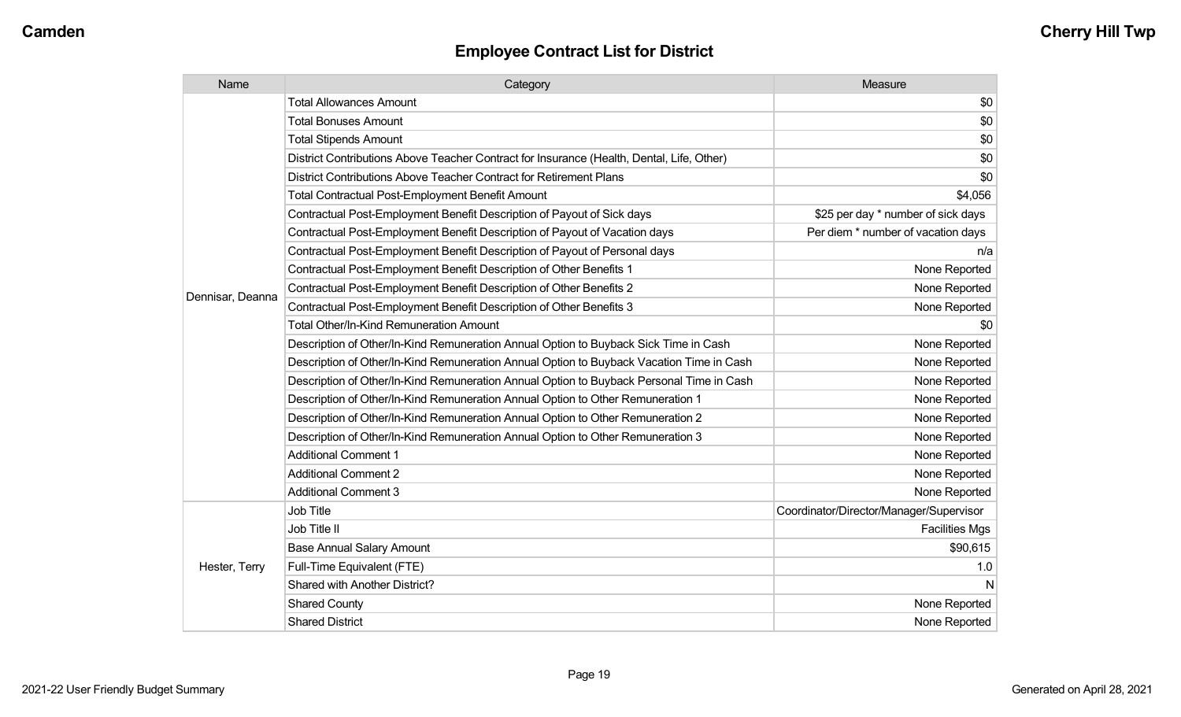| Name             | Category                                                                                  | Measure                                 |
|------------------|-------------------------------------------------------------------------------------------|-----------------------------------------|
|                  | <b>Total Allowances Amount</b>                                                            | \$0                                     |
|                  | <b>Total Bonuses Amount</b>                                                               | \$0                                     |
|                  | <b>Total Stipends Amount</b>                                                              | \$0                                     |
|                  | District Contributions Above Teacher Contract for Insurance (Health, Dental, Life, Other) | \$0                                     |
|                  | District Contributions Above Teacher Contract for Retirement Plans                        | \$0                                     |
|                  | <b>Total Contractual Post-Employment Benefit Amount</b>                                   | \$4,056                                 |
|                  | Contractual Post-Employment Benefit Description of Payout of Sick days                    | \$25 per day * number of sick days      |
|                  | Contractual Post-Employment Benefit Description of Payout of Vacation days                | Per diem * number of vacation days      |
|                  | Contractual Post-Employment Benefit Description of Payout of Personal days                | n/a                                     |
|                  | Contractual Post-Employment Benefit Description of Other Benefits 1                       | None Reported                           |
|                  | Contractual Post-Employment Benefit Description of Other Benefits 2                       | None Reported                           |
| Dennisar, Deanna | Contractual Post-Employment Benefit Description of Other Benefits 3                       | None Reported                           |
|                  | <b>Total Other/In-Kind Remuneration Amount</b>                                            | \$0                                     |
|                  | Description of Other/In-Kind Remuneration Annual Option to Buyback Sick Time in Cash      | None Reported                           |
|                  | Description of Other/In-Kind Remuneration Annual Option to Buyback Vacation Time in Cash  | None Reported                           |
|                  | Description of Other/In-Kind Remuneration Annual Option to Buyback Personal Time in Cash  | None Reported                           |
|                  | Description of Other/In-Kind Remuneration Annual Option to Other Remuneration 1           | None Reported                           |
|                  | Description of Other/In-Kind Remuneration Annual Option to Other Remuneration 2           | None Reported                           |
|                  | Description of Other/In-Kind Remuneration Annual Option to Other Remuneration 3           | None Reported                           |
|                  | <b>Additional Comment 1</b>                                                               | None Reported                           |
|                  | <b>Additional Comment 2</b>                                                               | None Reported                           |
|                  | <b>Additional Comment 3</b>                                                               | None Reported                           |
|                  | Job Title                                                                                 | Coordinator/Director/Manager/Supervisor |
| Hester, Terry    | Job Title II                                                                              | <b>Facilities Mgs</b>                   |
|                  | <b>Base Annual Salary Amount</b>                                                          | \$90,615                                |
|                  | Full-Time Equivalent (FTE)                                                                | 1.0                                     |
|                  | Shared with Another District?                                                             | N                                       |
|                  | <b>Shared County</b>                                                                      | None Reported                           |
|                  | <b>Shared District</b>                                                                    | None Reported                           |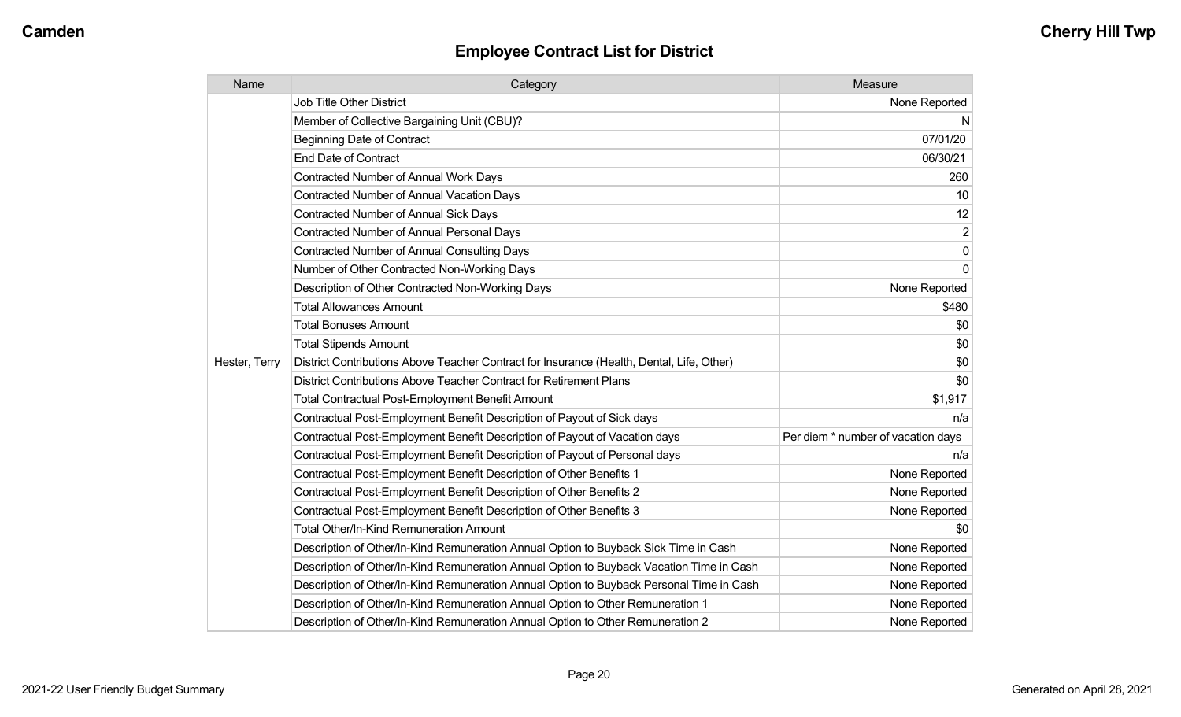| Name          | Category                                                                                  | Measure                            |
|---------------|-------------------------------------------------------------------------------------------|------------------------------------|
|               | Job Title Other District                                                                  | None Reported                      |
|               | Member of Collective Bargaining Unit (CBU)?                                               | N.                                 |
|               | <b>Beginning Date of Contract</b>                                                         | 07/01/20                           |
|               | <b>End Date of Contract</b>                                                               | 06/30/21                           |
|               | Contracted Number of Annual Work Days                                                     | 260                                |
|               | <b>Contracted Number of Annual Vacation Days</b>                                          | 10                                 |
|               | Contracted Number of Annual Sick Days                                                     | 12                                 |
|               | Contracted Number of Annual Personal Days                                                 | $\overline{c}$                     |
|               | <b>Contracted Number of Annual Consulting Days</b>                                        | $\overline{0}$                     |
|               | Number of Other Contracted Non-Working Days                                               | $\overline{0}$                     |
|               | Description of Other Contracted Non-Working Days                                          | None Reported                      |
|               | <b>Total Allowances Amount</b>                                                            | \$480                              |
|               | <b>Total Bonuses Amount</b>                                                               | \$0                                |
|               | <b>Total Stipends Amount</b>                                                              | \$0                                |
| Hester, Terry | District Contributions Above Teacher Contract for Insurance (Health, Dental, Life, Other) | \$0                                |
|               | District Contributions Above Teacher Contract for Retirement Plans                        | \$0                                |
|               | <b>Total Contractual Post-Employment Benefit Amount</b>                                   | \$1,917                            |
|               | Contractual Post-Employment Benefit Description of Payout of Sick days                    | n/a                                |
|               | Contractual Post-Employment Benefit Description of Payout of Vacation days                | Per diem * number of vacation days |
|               | Contractual Post-Employment Benefit Description of Payout of Personal days                | n/a                                |
|               | Contractual Post-Employment Benefit Description of Other Benefits 1                       | None Reported                      |
|               | Contractual Post-Employment Benefit Description of Other Benefits 2                       | None Reported                      |
|               | Contractual Post-Employment Benefit Description of Other Benefits 3                       | None Reported                      |
|               | Total Other/In-Kind Remuneration Amount                                                   | \$0                                |
|               | Description of Other/In-Kind Remuneration Annual Option to Buyback Sick Time in Cash      | None Reported                      |
|               | Description of Other/In-Kind Remuneration Annual Option to Buyback Vacation Time in Cash  | None Reported                      |
|               | Description of Other/In-Kind Remuneration Annual Option to Buyback Personal Time in Cash  | None Reported                      |
|               | Description of Other/In-Kind Remuneration Annual Option to Other Remuneration 1           | None Reported                      |
|               | Description of Other/In-Kind Remuneration Annual Option to Other Remuneration 2           | None Reported                      |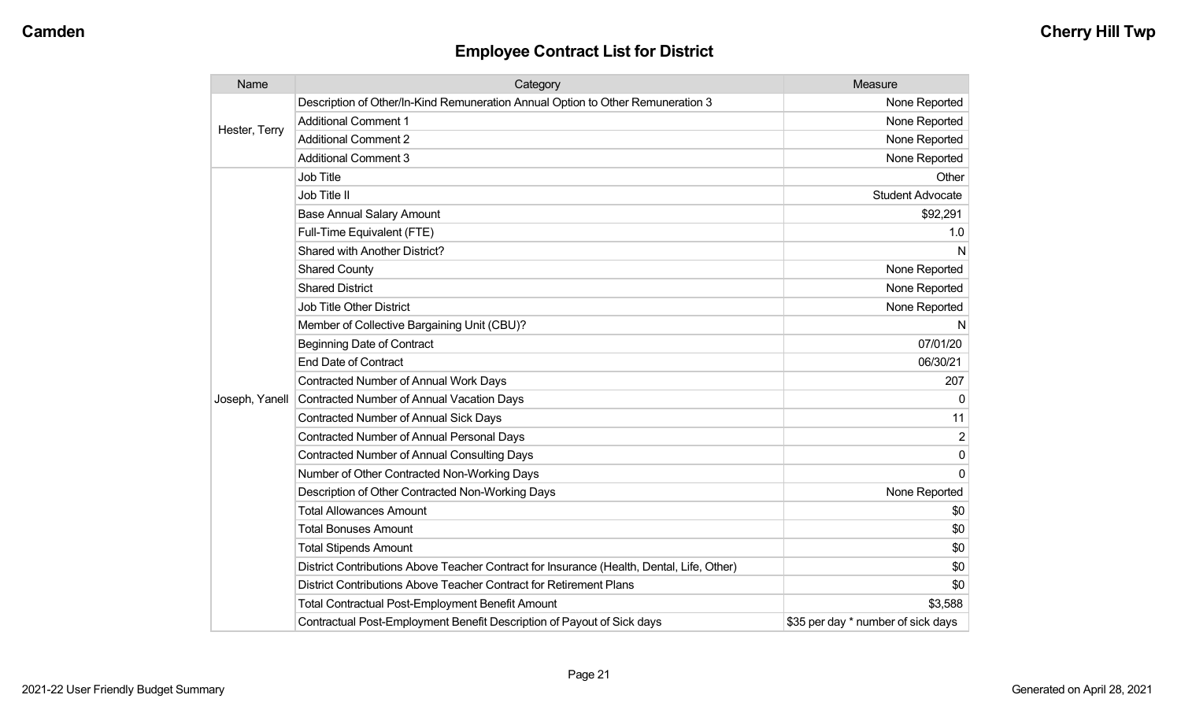| Name           | Category                                                                                  | Measure                            |
|----------------|-------------------------------------------------------------------------------------------|------------------------------------|
| Hester, Terry  | Description of Other/In-Kind Remuneration Annual Option to Other Remuneration 3           | None Reported                      |
|                | <b>Additional Comment 1</b>                                                               | None Reported                      |
|                | <b>Additional Comment 2</b>                                                               | None Reported                      |
|                | <b>Additional Comment 3</b>                                                               | None Reported                      |
|                | <b>Job Title</b>                                                                          | Other                              |
|                | Job Title II                                                                              | <b>Student Advocate</b>            |
|                | <b>Base Annual Salary Amount</b>                                                          | \$92,291                           |
|                | Full-Time Equivalent (FTE)                                                                | 1.0                                |
|                | Shared with Another District?                                                             | N                                  |
|                | <b>Shared County</b>                                                                      | None Reported                      |
|                | <b>Shared District</b>                                                                    | None Reported                      |
|                | <b>Job Title Other District</b>                                                           | None Reported                      |
|                | Member of Collective Bargaining Unit (CBU)?                                               | N                                  |
|                | <b>Beginning Date of Contract</b>                                                         | 07/01/20                           |
|                | <b>End Date of Contract</b>                                                               | 06/30/21                           |
|                | Contracted Number of Annual Work Days                                                     | 207                                |
| Joseph, Yanell | <b>Contracted Number of Annual Vacation Days</b>                                          | $\Omega$                           |
|                | <b>Contracted Number of Annual Sick Days</b>                                              | 11                                 |
|                | <b>Contracted Number of Annual Personal Days</b>                                          | 2                                  |
|                | <b>Contracted Number of Annual Consulting Days</b>                                        | $\mathbf{0}$                       |
|                | Number of Other Contracted Non-Working Days                                               | $\Omega$                           |
|                | Description of Other Contracted Non-Working Days                                          | None Reported                      |
|                | <b>Total Allowances Amount</b>                                                            | \$0                                |
|                | <b>Total Bonuses Amount</b>                                                               | \$0                                |
|                | <b>Total Stipends Amount</b>                                                              | \$0                                |
|                | District Contributions Above Teacher Contract for Insurance (Health, Dental, Life, Other) | \$0                                |
|                | District Contributions Above Teacher Contract for Retirement Plans                        | \$0                                |
|                | <b>Total Contractual Post-Employment Benefit Amount</b>                                   | \$3,588                            |
|                | Contractual Post-Employment Benefit Description of Payout of Sick days                    | \$35 per day * number of sick days |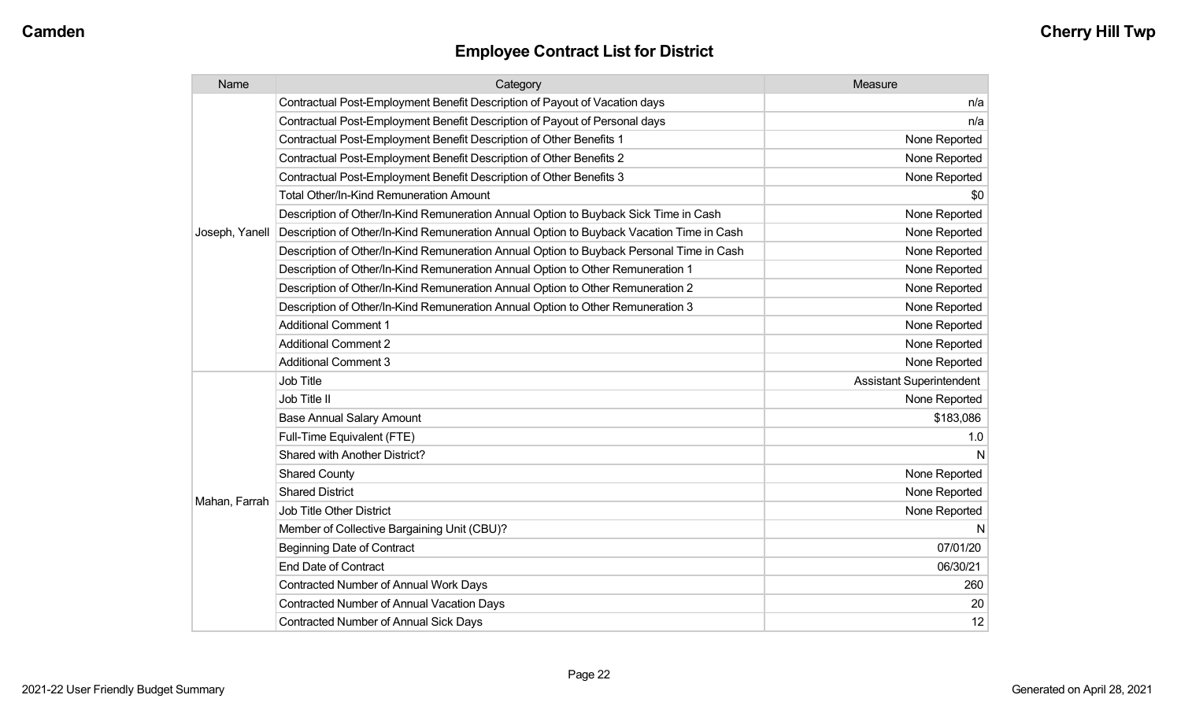| Name           | Category                                                                                 | Measure                         |
|----------------|------------------------------------------------------------------------------------------|---------------------------------|
|                | Contractual Post-Employment Benefit Description of Payout of Vacation days               | n/a                             |
|                | Contractual Post-Employment Benefit Description of Payout of Personal days               | n/a                             |
|                | Contractual Post-Employment Benefit Description of Other Benefits 1                      | None Reported                   |
|                | Contractual Post-Employment Benefit Description of Other Benefits 2                      | None Reported                   |
|                | Contractual Post-Employment Benefit Description of Other Benefits 3                      | None Reported                   |
|                | <b>Total Other/In-Kind Remuneration Amount</b>                                           | \$0                             |
|                | Description of Other/In-Kind Remuneration Annual Option to Buyback Sick Time in Cash     | None Reported                   |
| Joseph, Yanell | Description of Other/In-Kind Remuneration Annual Option to Buyback Vacation Time in Cash | None Reported                   |
|                | Description of Other/In-Kind Remuneration Annual Option to Buyback Personal Time in Cash | None Reported                   |
|                | Description of Other/In-Kind Remuneration Annual Option to Other Remuneration 1          | None Reported                   |
|                | Description of Other/In-Kind Remuneration Annual Option to Other Remuneration 2          | None Reported                   |
|                | Description of Other/In-Kind Remuneration Annual Option to Other Remuneration 3          | None Reported                   |
|                | <b>Additional Comment 1</b>                                                              | None Reported                   |
|                | <b>Additional Comment 2</b>                                                              | None Reported                   |
|                | <b>Additional Comment 3</b>                                                              | None Reported                   |
|                | <b>Job Title</b>                                                                         | <b>Assistant Superintendent</b> |
|                | Job Title II                                                                             | None Reported                   |
|                | <b>Base Annual Salary Amount</b>                                                         | \$183,086                       |
|                | Full-Time Equivalent (FTE)                                                               | 1.0                             |
|                | Shared with Another District?                                                            |                                 |
|                | <b>Shared County</b>                                                                     | None Reported                   |
|                | <b>Shared District</b>                                                                   | None Reported                   |
| Mahan, Farrah  | <b>Job Title Other District</b>                                                          | None Reported                   |
|                | Member of Collective Bargaining Unit (CBU)?                                              | N                               |
|                | <b>Beginning Date of Contract</b>                                                        | 07/01/20                        |
|                | <b>End Date of Contract</b>                                                              | 06/30/21                        |
|                | <b>Contracted Number of Annual Work Days</b>                                             | 260                             |
|                | <b>Contracted Number of Annual Vacation Days</b>                                         | 20                              |
|                | Contracted Number of Annual Sick Days                                                    | 12                              |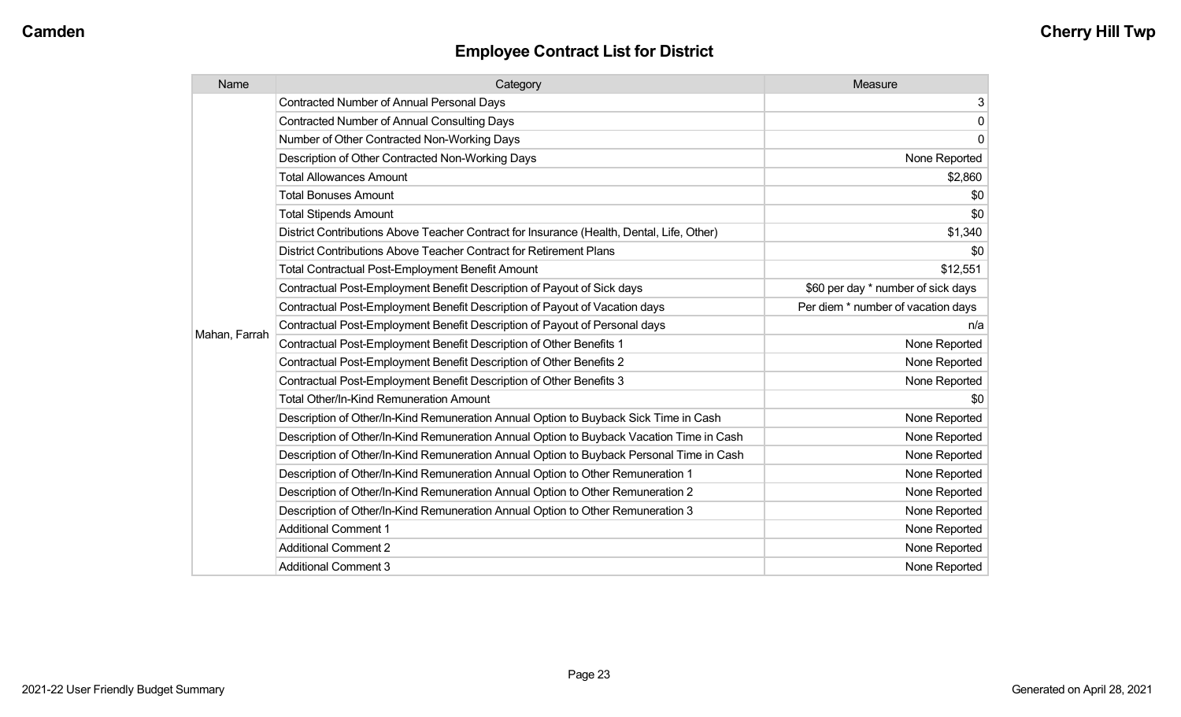| Name          | Category                                                                                  | Measure                            |
|---------------|-------------------------------------------------------------------------------------------|------------------------------------|
|               | <b>Contracted Number of Annual Personal Days</b>                                          | 3 <sup>1</sup>                     |
|               | <b>Contracted Number of Annual Consulting Days</b>                                        | 0                                  |
|               | Number of Other Contracted Non-Working Days                                               | $\overline{0}$                     |
|               | Description of Other Contracted Non-Working Days                                          | None Reported                      |
|               | <b>Total Allowances Amount</b>                                                            | \$2,860                            |
|               | <b>Total Bonuses Amount</b>                                                               | \$0                                |
|               | <b>Total Stipends Amount</b>                                                              | \$0                                |
|               | District Contributions Above Teacher Contract for Insurance (Health, Dental, Life, Other) | \$1,340                            |
|               | District Contributions Above Teacher Contract for Retirement Plans                        | \$0                                |
|               | <b>Total Contractual Post-Employment Benefit Amount</b>                                   | \$12,551                           |
|               | Contractual Post-Employment Benefit Description of Payout of Sick days                    | \$60 per day * number of sick days |
|               | Contractual Post-Employment Benefit Description of Payout of Vacation days                | Per diem * number of vacation days |
|               | Contractual Post-Employment Benefit Description of Payout of Personal days                | n/a                                |
| Mahan, Farrah | Contractual Post-Employment Benefit Description of Other Benefits 1                       | None Reported                      |
|               | Contractual Post-Employment Benefit Description of Other Benefits 2                       | None Reported                      |
|               | Contractual Post-Employment Benefit Description of Other Benefits 3                       | None Reported                      |
|               | Total Other/In-Kind Remuneration Amount                                                   | \$0                                |
|               | Description of Other/In-Kind Remuneration Annual Option to Buyback Sick Time in Cash      | None Reported                      |
|               | Description of Other/In-Kind Remuneration Annual Option to Buyback Vacation Time in Cash  | None Reported                      |
|               | Description of Other/In-Kind Remuneration Annual Option to Buyback Personal Time in Cash  | None Reported                      |
|               | Description of Other/In-Kind Remuneration Annual Option to Other Remuneration 1           | None Reported                      |
|               | Description of Other/In-Kind Remuneration Annual Option to Other Remuneration 2           | None Reported                      |
|               | Description of Other/In-Kind Remuneration Annual Option to Other Remuneration 3           | None Reported                      |
|               | <b>Additional Comment 1</b>                                                               | None Reported                      |
|               | <b>Additional Comment 2</b>                                                               | None Reported                      |
|               | <b>Additional Comment 3</b>                                                               | None Reported                      |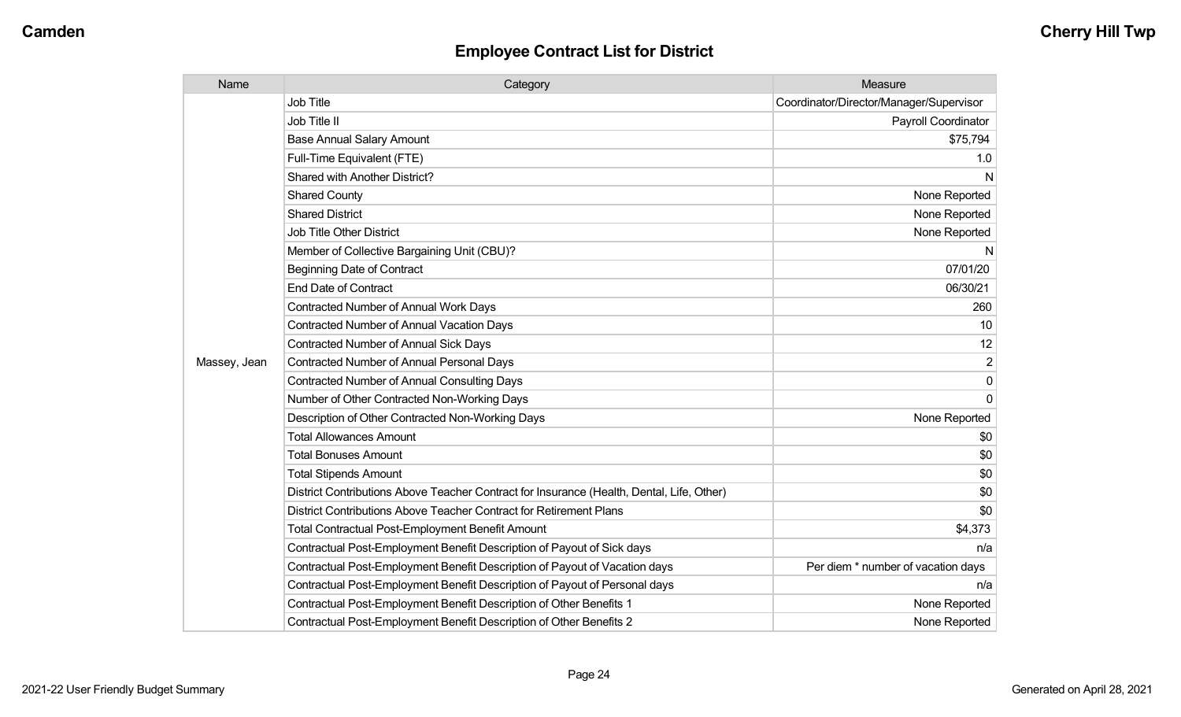| Name         | Category                                                                                  | Measure                                 |
|--------------|-------------------------------------------------------------------------------------------|-----------------------------------------|
|              | <b>Job Title</b>                                                                          | Coordinator/Director/Manager/Supervisor |
|              | Job Title II                                                                              | Payroll Coordinator                     |
|              | <b>Base Annual Salary Amount</b>                                                          | \$75,794                                |
|              | Full-Time Equivalent (FTE)                                                                | 1.0                                     |
|              | Shared with Another District?                                                             | N                                       |
|              | <b>Shared County</b>                                                                      | None Reported                           |
|              | <b>Shared District</b>                                                                    | None Reported                           |
|              | <b>Job Title Other District</b>                                                           | None Reported                           |
|              | Member of Collective Bargaining Unit (CBU)?                                               | N                                       |
|              | <b>Beginning Date of Contract</b>                                                         | 07/01/20                                |
|              | <b>End Date of Contract</b>                                                               | 06/30/21                                |
|              | <b>Contracted Number of Annual Work Days</b>                                              | 260                                     |
|              | <b>Contracted Number of Annual Vacation Days</b>                                          | 10                                      |
|              | <b>Contracted Number of Annual Sick Days</b>                                              | 12                                      |
| Massey, Jean | <b>Contracted Number of Annual Personal Days</b>                                          | 2                                       |
|              | <b>Contracted Number of Annual Consulting Days</b>                                        | $\Omega$                                |
|              | Number of Other Contracted Non-Working Days                                               | $\Omega$                                |
|              | Description of Other Contracted Non-Working Days                                          | None Reported                           |
|              | <b>Total Allowances Amount</b>                                                            | \$0                                     |
|              | <b>Total Bonuses Amount</b>                                                               | \$0                                     |
|              | <b>Total Stipends Amount</b>                                                              | \$0                                     |
|              | District Contributions Above Teacher Contract for Insurance (Health, Dental, Life, Other) | \$0                                     |
|              | District Contributions Above Teacher Contract for Retirement Plans                        | \$0                                     |
|              | <b>Total Contractual Post-Employment Benefit Amount</b>                                   | \$4,373                                 |
|              | Contractual Post-Employment Benefit Description of Payout of Sick days                    | n/a                                     |
|              | Contractual Post-Employment Benefit Description of Payout of Vacation days                | Per diem * number of vacation days      |
|              | Contractual Post-Employment Benefit Description of Payout of Personal days                | n/a                                     |
|              | Contractual Post-Employment Benefit Description of Other Benefits 1                       | None Reported                           |
|              | Contractual Post-Employment Benefit Description of Other Benefits 2                       | None Reported                           |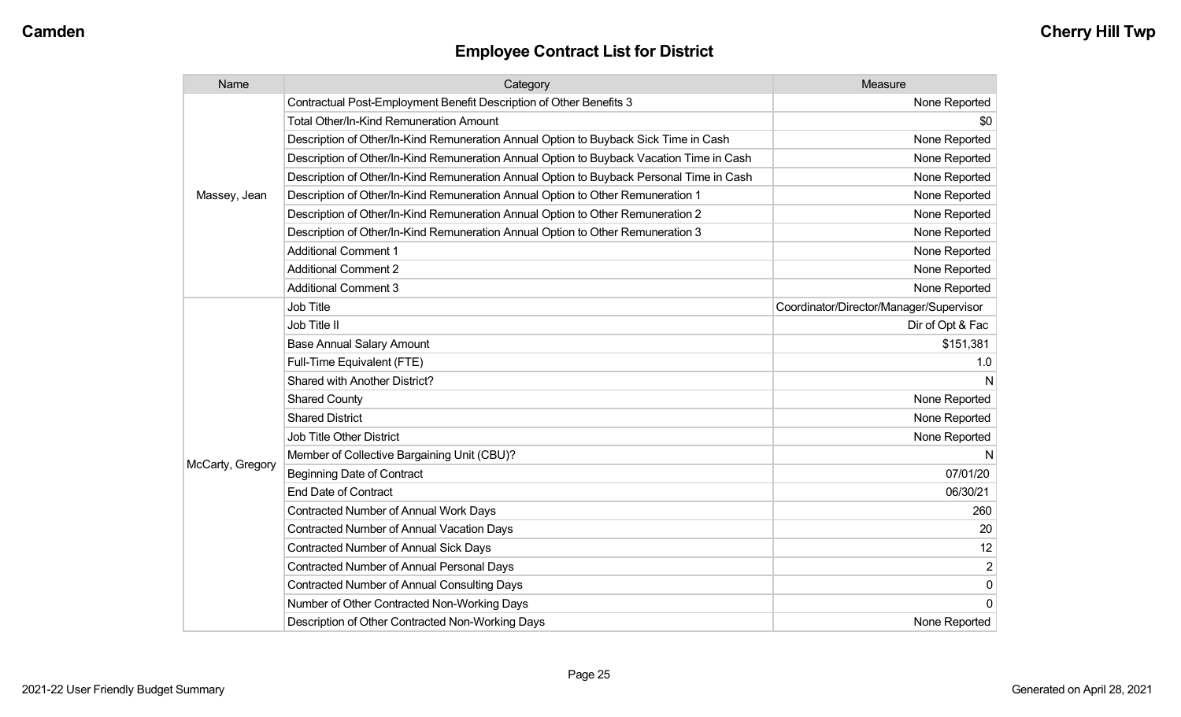| Name             | Category                                                                                 | Measure                                 |
|------------------|------------------------------------------------------------------------------------------|-----------------------------------------|
|                  | Contractual Post-Employment Benefit Description of Other Benefits 3                      | None Reported                           |
|                  | Total Other/In-Kind Remuneration Amount                                                  | \$0                                     |
|                  | Description of Other/In-Kind Remuneration Annual Option to Buyback Sick Time in Cash     | None Reported                           |
|                  | Description of Other/In-Kind Remuneration Annual Option to Buyback Vacation Time in Cash | None Reported                           |
|                  | Description of Other/In-Kind Remuneration Annual Option to Buyback Personal Time in Cash | None Reported                           |
| Massey, Jean     | Description of Other/In-Kind Remuneration Annual Option to Other Remuneration 1          | None Reported                           |
|                  | Description of Other/In-Kind Remuneration Annual Option to Other Remuneration 2          | None Reported                           |
|                  | Description of Other/In-Kind Remuneration Annual Option to Other Remuneration 3          | None Reported                           |
|                  | <b>Additional Comment 1</b>                                                              | None Reported                           |
|                  | <b>Additional Comment 2</b>                                                              | None Reported                           |
|                  | <b>Additional Comment 3</b>                                                              | None Reported                           |
|                  | <b>Job Title</b>                                                                         | Coordinator/Director/Manager/Supervisor |
|                  | Job Title II                                                                             | Dir of Opt & Fac                        |
|                  | <b>Base Annual Salary Amount</b>                                                         | \$151,381                               |
|                  | Full-Time Equivalent (FTE)                                                               | 1.0                                     |
|                  | Shared with Another District?                                                            | N                                       |
|                  | <b>Shared County</b>                                                                     | None Reported                           |
|                  | <b>Shared District</b>                                                                   | None Reported                           |
|                  | <b>Job Title Other District</b>                                                          | None Reported                           |
|                  | Member of Collective Bargaining Unit (CBU)?                                              | N                                       |
| McCarty, Gregory | <b>Beginning Date of Contract</b>                                                        | 07/01/20                                |
|                  | <b>End Date of Contract</b>                                                              | 06/30/21                                |
|                  | <b>Contracted Number of Annual Work Days</b>                                             | 260                                     |
|                  | Contracted Number of Annual Vacation Days                                                | 20                                      |
|                  | <b>Contracted Number of Annual Sick Days</b>                                             | 12                                      |
|                  | Contracted Number of Annual Personal Days                                                | $\overline{2}$                          |
|                  | <b>Contracted Number of Annual Consulting Days</b>                                       | $\pmb{0}$                               |
|                  | Number of Other Contracted Non-Working Days                                              | $\mathbf 0$                             |
|                  | Description of Other Contracted Non-Working Days                                         | None Reported                           |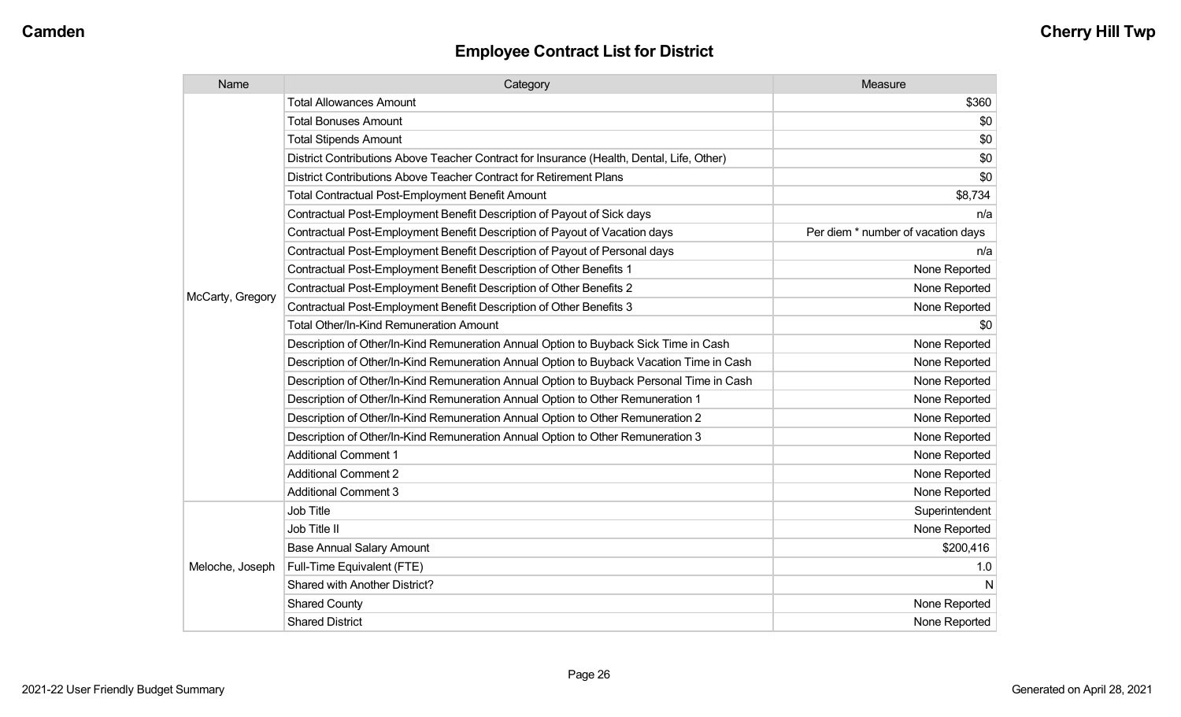| Name             | Category                                                                                  | Measure                            |
|------------------|-------------------------------------------------------------------------------------------|------------------------------------|
|                  | <b>Total Allowances Amount</b>                                                            | \$360                              |
|                  | <b>Total Bonuses Amount</b>                                                               | \$0                                |
|                  | <b>Total Stipends Amount</b>                                                              | \$0                                |
|                  | District Contributions Above Teacher Contract for Insurance (Health, Dental, Life, Other) | \$0                                |
|                  | District Contributions Above Teacher Contract for Retirement Plans                        | \$0                                |
|                  | <b>Total Contractual Post-Employment Benefit Amount</b>                                   | \$8,734                            |
|                  | Contractual Post-Employment Benefit Description of Payout of Sick days                    | n/a                                |
|                  | Contractual Post-Employment Benefit Description of Payout of Vacation days                | Per diem * number of vacation days |
|                  | Contractual Post-Employment Benefit Description of Payout of Personal days                | n/a                                |
|                  | Contractual Post-Employment Benefit Description of Other Benefits 1                       | None Reported                      |
|                  | Contractual Post-Employment Benefit Description of Other Benefits 2                       | None Reported                      |
| McCarty, Gregory | Contractual Post-Employment Benefit Description of Other Benefits 3                       | None Reported                      |
|                  | Total Other/In-Kind Remuneration Amount                                                   | \$0                                |
|                  | Description of Other/In-Kind Remuneration Annual Option to Buyback Sick Time in Cash      | None Reported                      |
|                  | Description of Other/In-Kind Remuneration Annual Option to Buyback Vacation Time in Cash  | None Reported                      |
|                  | Description of Other/In-Kind Remuneration Annual Option to Buyback Personal Time in Cash  | None Reported                      |
|                  | Description of Other/In-Kind Remuneration Annual Option to Other Remuneration 1           | None Reported                      |
|                  | Description of Other/In-Kind Remuneration Annual Option to Other Remuneration 2           | None Reported                      |
|                  | Description of Other/In-Kind Remuneration Annual Option to Other Remuneration 3           | None Reported                      |
|                  | <b>Additional Comment 1</b>                                                               | None Reported                      |
|                  | <b>Additional Comment 2</b>                                                               | None Reported                      |
|                  | <b>Additional Comment 3</b>                                                               | None Reported                      |
|                  | Job Title                                                                                 | Superintendent                     |
|                  | Job Title II                                                                              | None Reported                      |
| Meloche, Joseph  | <b>Base Annual Salary Amount</b>                                                          | \$200,416                          |
|                  | Full-Time Equivalent (FTE)                                                                | 1.0                                |
|                  | Shared with Another District?                                                             | N                                  |
|                  | <b>Shared County</b>                                                                      | None Reported                      |
|                  | <b>Shared District</b>                                                                    | None Reported                      |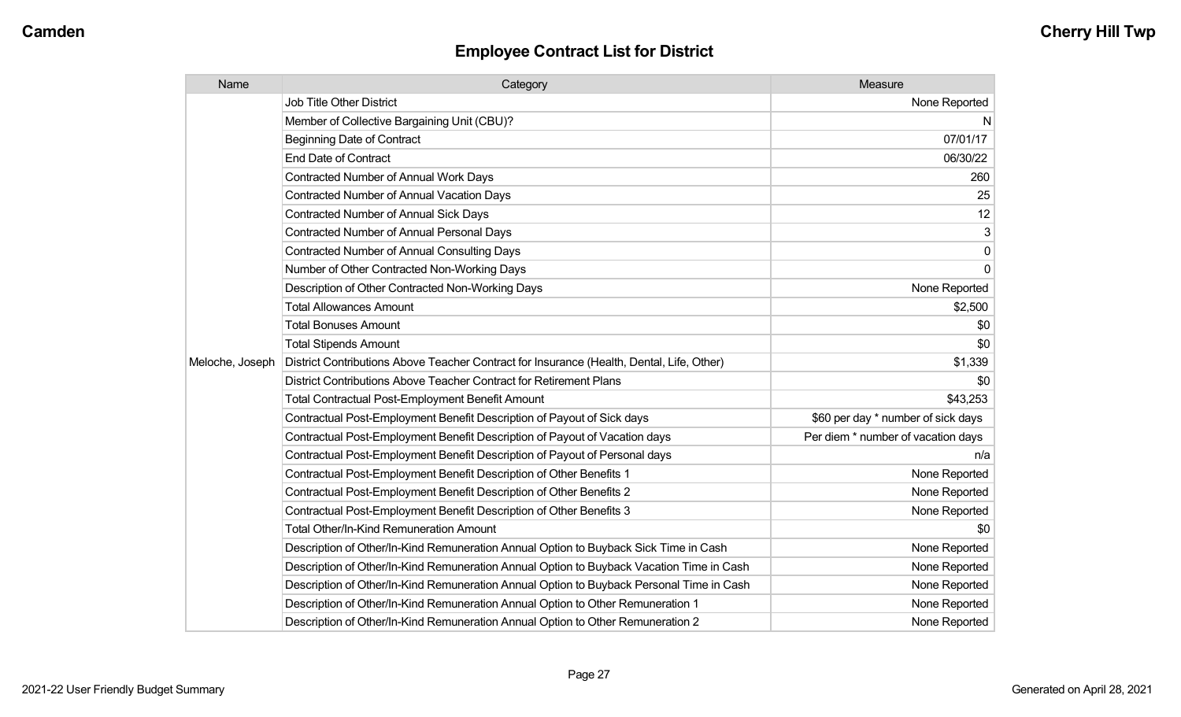| Name            | Category                                                                                  | Measure                            |
|-----------------|-------------------------------------------------------------------------------------------|------------------------------------|
|                 | Job Title Other District                                                                  | None Reported                      |
|                 | Member of Collective Bargaining Unit (CBU)?                                               | N                                  |
|                 | <b>Beginning Date of Contract</b>                                                         | 07/01/17                           |
|                 | <b>End Date of Contract</b>                                                               | 06/30/22                           |
|                 | <b>Contracted Number of Annual Work Days</b>                                              | 260                                |
|                 | <b>Contracted Number of Annual Vacation Days</b>                                          | 25                                 |
|                 | <b>Contracted Number of Annual Sick Days</b>                                              | 12                                 |
|                 | Contracted Number of Annual Personal Days                                                 | 3                                  |
|                 | <b>Contracted Number of Annual Consulting Days</b>                                        | $\pmb{0}$                          |
|                 | Number of Other Contracted Non-Working Days                                               | $\mathbf 0$                        |
|                 | Description of Other Contracted Non-Working Days                                          | None Reported                      |
|                 | <b>Total Allowances Amount</b>                                                            | \$2,500                            |
|                 | <b>Total Bonuses Amount</b>                                                               | \$0                                |
|                 | <b>Total Stipends Amount</b>                                                              | \$0                                |
| Meloche, Joseph | District Contributions Above Teacher Contract for Insurance (Health, Dental, Life, Other) | \$1,339                            |
|                 | District Contributions Above Teacher Contract for Retirement Plans                        | \$0                                |
|                 | <b>Total Contractual Post-Employment Benefit Amount</b>                                   | \$43,253                           |
|                 | Contractual Post-Employment Benefit Description of Payout of Sick days                    | \$60 per day * number of sick days |
|                 | Contractual Post-Employment Benefit Description of Payout of Vacation days                | Per diem * number of vacation days |
|                 | Contractual Post-Employment Benefit Description of Payout of Personal days                | n/a                                |
|                 | Contractual Post-Employment Benefit Description of Other Benefits 1                       | None Reported                      |
|                 | Contractual Post-Employment Benefit Description of Other Benefits 2                       | None Reported                      |
|                 | Contractual Post-Employment Benefit Description of Other Benefits 3                       | None Reported                      |
|                 | Total Other/In-Kind Remuneration Amount                                                   | \$0                                |
|                 | Description of Other/In-Kind Remuneration Annual Option to Buyback Sick Time in Cash      | None Reported                      |
|                 | Description of Other/In-Kind Remuneration Annual Option to Buyback Vacation Time in Cash  | None Reported                      |
|                 | Description of Other/In-Kind Remuneration Annual Option to Buyback Personal Time in Cash  | None Reported                      |
|                 | Description of Other/In-Kind Remuneration Annual Option to Other Remuneration 1           | None Reported                      |
|                 | Description of Other/In-Kind Remuneration Annual Option to Other Remuneration 2           | None Reported                      |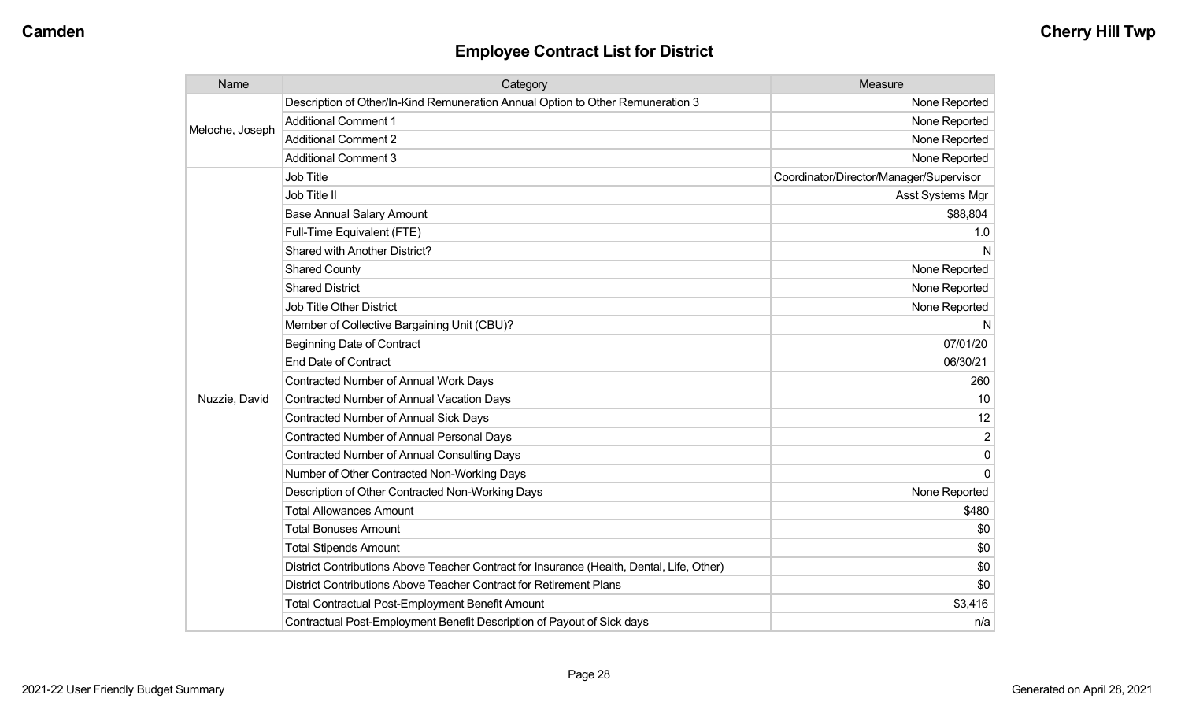| Name            | Category                                                                                  | <b>Measure</b>                          |
|-----------------|-------------------------------------------------------------------------------------------|-----------------------------------------|
| Meloche, Joseph | Description of Other/In-Kind Remuneration Annual Option to Other Remuneration 3           | None Reported                           |
|                 | <b>Additional Comment 1</b>                                                               | None Reported                           |
|                 | <b>Additional Comment 2</b>                                                               | None Reported                           |
|                 | <b>Additional Comment 3</b>                                                               | None Reported                           |
|                 | Job Title                                                                                 | Coordinator/Director/Manager/Supervisor |
|                 | Job Title II                                                                              | Asst Systems Mgr                        |
|                 | <b>Base Annual Salary Amount</b>                                                          | \$88,804                                |
|                 | Full-Time Equivalent (FTE)                                                                | 1.0                                     |
|                 | Shared with Another District?                                                             | N                                       |
|                 | <b>Shared County</b>                                                                      | None Reported                           |
|                 | <b>Shared District</b>                                                                    | None Reported                           |
|                 | <b>Job Title Other District</b>                                                           | None Reported                           |
|                 | Member of Collective Bargaining Unit (CBU)?                                               | N                                       |
|                 | <b>Beginning Date of Contract</b>                                                         | 07/01/20                                |
|                 | <b>End Date of Contract</b>                                                               | 06/30/21                                |
|                 | <b>Contracted Number of Annual Work Days</b>                                              | 260                                     |
| Nuzzie, David   | Contracted Number of Annual Vacation Days                                                 | 10                                      |
|                 | <b>Contracted Number of Annual Sick Days</b>                                              | 12                                      |
|                 | <b>Contracted Number of Annual Personal Days</b>                                          | $\overline{2}$                          |
|                 | <b>Contracted Number of Annual Consulting Days</b>                                        | $\mathbf 0$                             |
|                 | Number of Other Contracted Non-Working Days                                               | $\Omega$                                |
|                 | Description of Other Contracted Non-Working Days                                          | None Reported                           |
|                 | <b>Total Allowances Amount</b>                                                            | \$480                                   |
|                 | <b>Total Bonuses Amount</b>                                                               | \$0                                     |
|                 | <b>Total Stipends Amount</b>                                                              | \$0                                     |
|                 | District Contributions Above Teacher Contract for Insurance (Health, Dental, Life, Other) | \$0                                     |
|                 | District Contributions Above Teacher Contract for Retirement Plans                        | \$0                                     |
|                 | <b>Total Contractual Post-Employment Benefit Amount</b>                                   | \$3,416                                 |
|                 | Contractual Post-Employment Benefit Description of Payout of Sick days                    | n/a                                     |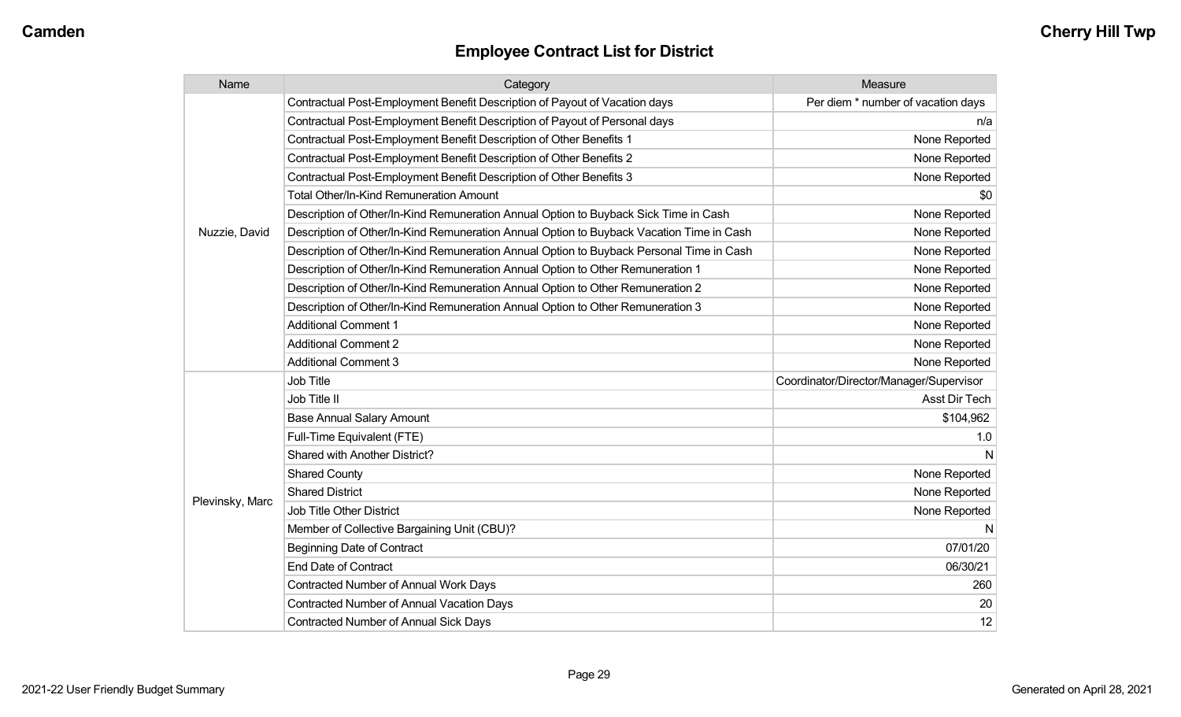| Name            | Category                                                                                 | Measure                                 |
|-----------------|------------------------------------------------------------------------------------------|-----------------------------------------|
|                 | Contractual Post-Employment Benefit Description of Payout of Vacation days               | Per diem * number of vacation days      |
|                 | Contractual Post-Employment Benefit Description of Payout of Personal days               | n/a                                     |
|                 | Contractual Post-Employment Benefit Description of Other Benefits 1                      | None Reported                           |
|                 | Contractual Post-Employment Benefit Description of Other Benefits 2                      | None Reported                           |
|                 | Contractual Post-Employment Benefit Description of Other Benefits 3                      | None Reported                           |
|                 | <b>Total Other/In-Kind Remuneration Amount</b>                                           | \$0                                     |
|                 | Description of Other/In-Kind Remuneration Annual Option to Buyback Sick Time in Cash     | None Reported                           |
| Nuzzie, David   | Description of Other/In-Kind Remuneration Annual Option to Buyback Vacation Time in Cash | None Reported                           |
|                 | Description of Other/In-Kind Remuneration Annual Option to Buyback Personal Time in Cash | None Reported                           |
|                 | Description of Other/In-Kind Remuneration Annual Option to Other Remuneration 1          | None Reported                           |
|                 | Description of Other/In-Kind Remuneration Annual Option to Other Remuneration 2          | None Reported                           |
|                 | Description of Other/In-Kind Remuneration Annual Option to Other Remuneration 3          | None Reported                           |
|                 | <b>Additional Comment 1</b>                                                              | None Reported                           |
|                 | <b>Additional Comment 2</b>                                                              | None Reported                           |
|                 | <b>Additional Comment 3</b>                                                              | None Reported                           |
|                 | Job Title                                                                                | Coordinator/Director/Manager/Supervisor |
|                 | Job Title II                                                                             | Asst Dir Tech                           |
|                 | <b>Base Annual Salary Amount</b>                                                         | \$104,962                               |
|                 | Full-Time Equivalent (FTE)                                                               | 1.0                                     |
|                 | Shared with Another District?                                                            | N                                       |
|                 | <b>Shared County</b>                                                                     | None Reported                           |
|                 | <b>Shared District</b>                                                                   | None Reported                           |
| Plevinsky, Marc | Job Title Other District                                                                 | None Reported                           |
|                 | Member of Collective Bargaining Unit (CBU)?                                              | N                                       |
|                 | <b>Beginning Date of Contract</b>                                                        | 07/01/20                                |
|                 | <b>End Date of Contract</b>                                                              | 06/30/21                                |
|                 | <b>Contracted Number of Annual Work Days</b>                                             | 260                                     |
|                 | <b>Contracted Number of Annual Vacation Days</b>                                         | 20                                      |
|                 | <b>Contracted Number of Annual Sick Days</b>                                             | 12                                      |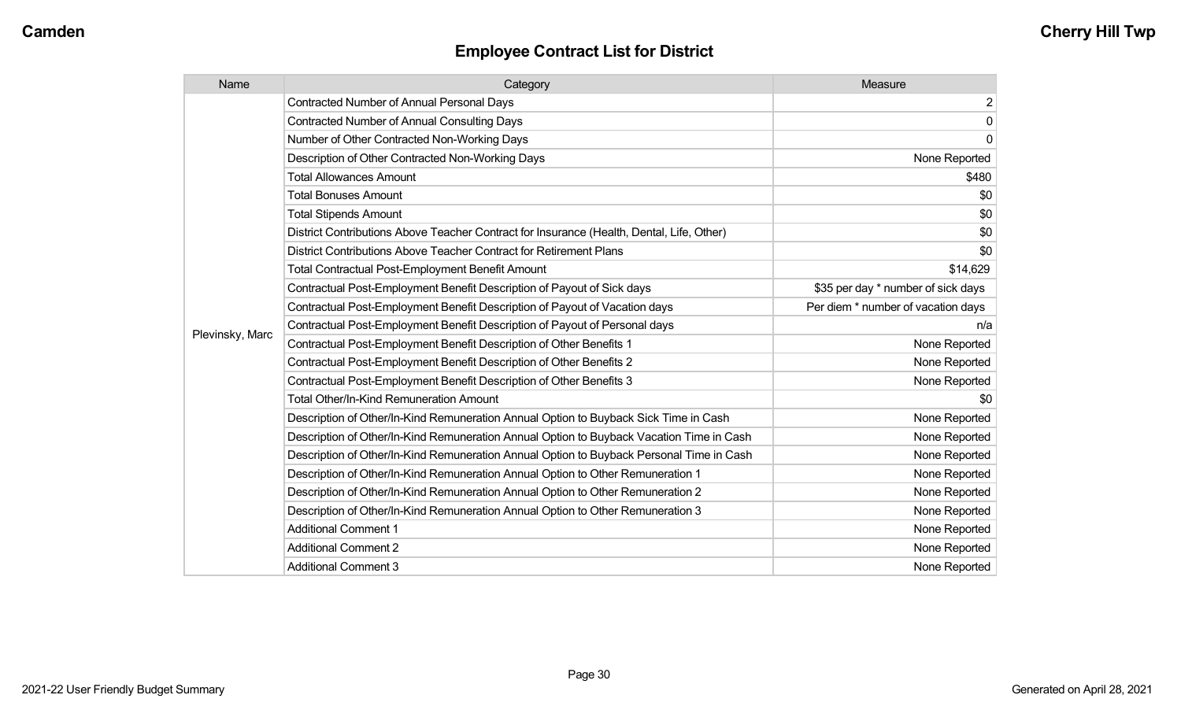| Name            | Category                                                                                  | Measure                            |
|-----------------|-------------------------------------------------------------------------------------------|------------------------------------|
|                 | <b>Contracted Number of Annual Personal Days</b>                                          | $\overline{\mathbf{c}}$            |
|                 | <b>Contracted Number of Annual Consulting Days</b>                                        | $\pmb{0}$                          |
|                 | Number of Other Contracted Non-Working Days                                               | $\mathbf 0$                        |
|                 | Description of Other Contracted Non-Working Days                                          | None Reported                      |
|                 | <b>Total Allowances Amount</b>                                                            | \$480                              |
|                 | <b>Total Bonuses Amount</b>                                                               | \$0                                |
|                 | <b>Total Stipends Amount</b>                                                              | \$0                                |
|                 | District Contributions Above Teacher Contract for Insurance (Health, Dental, Life, Other) | \$0                                |
|                 | District Contributions Above Teacher Contract for Retirement Plans                        | \$0                                |
|                 | <b>Total Contractual Post-Employment Benefit Amount</b>                                   | \$14,629                           |
|                 | Contractual Post-Employment Benefit Description of Payout of Sick days                    | \$35 per day * number of sick days |
|                 | Contractual Post-Employment Benefit Description of Payout of Vacation days                | Per diem * number of vacation days |
|                 | Contractual Post-Employment Benefit Description of Payout of Personal days                | n/a                                |
| Plevinsky, Marc | Contractual Post-Employment Benefit Description of Other Benefits 1                       | None Reported                      |
|                 | Contractual Post-Employment Benefit Description of Other Benefits 2                       | None Reported                      |
|                 | Contractual Post-Employment Benefit Description of Other Benefits 3                       | None Reported                      |
|                 | Total Other/In-Kind Remuneration Amount                                                   | \$0                                |
|                 | Description of Other/In-Kind Remuneration Annual Option to Buyback Sick Time in Cash      | None Reported                      |
|                 | Description of Other/In-Kind Remuneration Annual Option to Buyback Vacation Time in Cash  | None Reported                      |
|                 | Description of Other/In-Kind Remuneration Annual Option to Buyback Personal Time in Cash  | None Reported                      |
|                 | Description of Other/In-Kind Remuneration Annual Option to Other Remuneration 1           | None Reported                      |
|                 | Description of Other/In-Kind Remuneration Annual Option to Other Remuneration 2           | None Reported                      |
|                 | Description of Other/In-Kind Remuneration Annual Option to Other Remuneration 3           | None Reported                      |
|                 | <b>Additional Comment 1</b>                                                               | None Reported                      |
|                 | <b>Additional Comment 2</b>                                                               | None Reported                      |
|                 | <b>Additional Comment 3</b>                                                               | None Reported                      |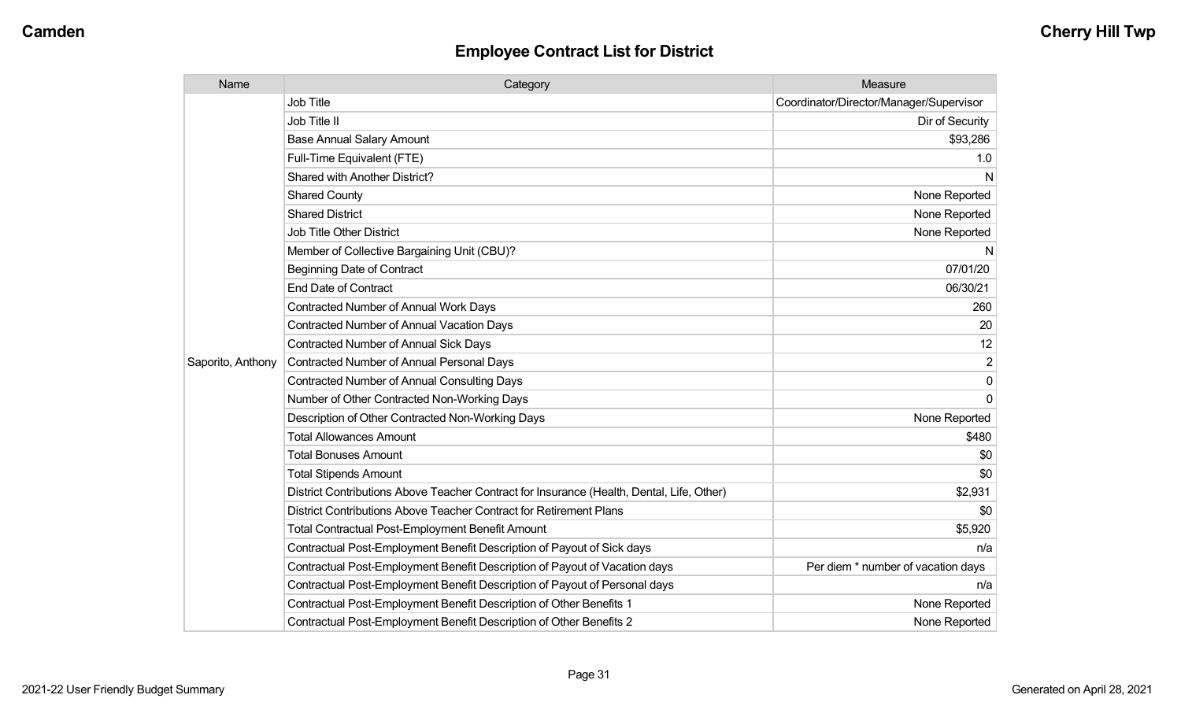| Name              | Category                                                                                  | Measure                                 |
|-------------------|-------------------------------------------------------------------------------------------|-----------------------------------------|
|                   | <b>Job Title</b>                                                                          | Coordinator/Director/Manager/Supervisor |
|                   | Job Title II                                                                              | Dir of Security                         |
|                   | <b>Base Annual Salary Amount</b>                                                          | \$93,286                                |
|                   | Full-Time Equivalent (FTE)                                                                | 1.0                                     |
|                   | Shared with Another District?                                                             | N                                       |
|                   | <b>Shared County</b>                                                                      | None Reported                           |
|                   | <b>Shared District</b>                                                                    | None Reported                           |
|                   | <b>Job Title Other District</b>                                                           | None Reported                           |
|                   | Member of Collective Bargaining Unit (CBU)?                                               | N                                       |
|                   | <b>Beginning Date of Contract</b>                                                         | 07/01/20                                |
|                   | <b>End Date of Contract</b>                                                               | 06/30/21                                |
|                   | <b>Contracted Number of Annual Work Days</b>                                              | 260                                     |
|                   | <b>Contracted Number of Annual Vacation Days</b>                                          | 20                                      |
|                   | Contracted Number of Annual Sick Days                                                     | 12                                      |
| Saporito, Anthony | <b>Contracted Number of Annual Personal Days</b>                                          | 2                                       |
|                   | <b>Contracted Number of Annual Consulting Days</b>                                        | $\Omega$                                |
|                   | Number of Other Contracted Non-Working Days                                               | $\Omega$                                |
|                   | Description of Other Contracted Non-Working Days                                          | None Reported                           |
|                   | <b>Total Allowances Amount</b>                                                            | \$480                                   |
|                   | <b>Total Bonuses Amount</b>                                                               | \$0                                     |
|                   | <b>Total Stipends Amount</b>                                                              | \$0                                     |
|                   | District Contributions Above Teacher Contract for Insurance (Health, Dental, Life, Other) | \$2,931                                 |
|                   | District Contributions Above Teacher Contract for Retirement Plans                        | \$0                                     |
|                   | <b>Total Contractual Post-Employment Benefit Amount</b>                                   | \$5,920                                 |
|                   | Contractual Post-Employment Benefit Description of Payout of Sick days                    | n/a                                     |
|                   | Contractual Post-Employment Benefit Description of Payout of Vacation days                | Per diem * number of vacation days      |
|                   | Contractual Post-Employment Benefit Description of Payout of Personal days                | n/a                                     |
|                   | Contractual Post-Employment Benefit Description of Other Benefits 1                       | None Reported                           |
|                   | Contractual Post-Employment Benefit Description of Other Benefits 2                       | None Reported                           |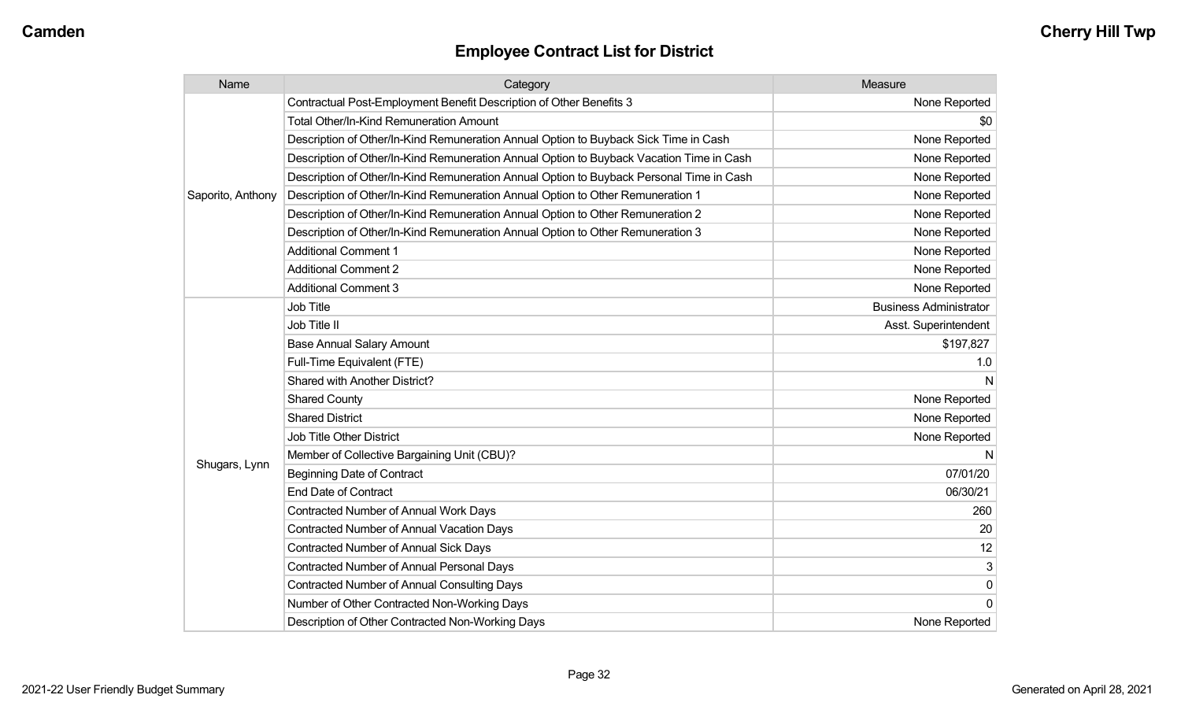| Name              | Category                                                                                 | Measure                       |
|-------------------|------------------------------------------------------------------------------------------|-------------------------------|
|                   | Contractual Post-Employment Benefit Description of Other Benefits 3                      | None Reported                 |
|                   | Total Other/In-Kind Remuneration Amount                                                  | \$0                           |
|                   | Description of Other/In-Kind Remuneration Annual Option to Buyback Sick Time in Cash     | None Reported                 |
|                   | Description of Other/In-Kind Remuneration Annual Option to Buyback Vacation Time in Cash | None Reported                 |
|                   | Description of Other/In-Kind Remuneration Annual Option to Buyback Personal Time in Cash | None Reported                 |
| Saporito, Anthony | Description of Other/In-Kind Remuneration Annual Option to Other Remuneration 1          | None Reported                 |
|                   | Description of Other/In-Kind Remuneration Annual Option to Other Remuneration 2          | None Reported                 |
|                   | Description of Other/In-Kind Remuneration Annual Option to Other Remuneration 3          | None Reported                 |
|                   | <b>Additional Comment 1</b>                                                              | None Reported                 |
|                   | <b>Additional Comment 2</b>                                                              | None Reported                 |
|                   | <b>Additional Comment 3</b>                                                              | None Reported                 |
|                   | <b>Job Title</b>                                                                         | <b>Business Administrator</b> |
|                   | Job Title II                                                                             | Asst. Superintendent          |
|                   | <b>Base Annual Salary Amount</b>                                                         | \$197,827                     |
|                   | Full-Time Equivalent (FTE)                                                               | 1.0                           |
|                   | Shared with Another District?                                                            | N                             |
|                   | <b>Shared County</b>                                                                     | None Reported                 |
|                   | <b>Shared District</b>                                                                   | None Reported                 |
|                   | <b>Job Title Other District</b>                                                          | None Reported                 |
|                   | Member of Collective Bargaining Unit (CBU)?                                              | N                             |
| Shugars, Lynn     | <b>Beginning Date of Contract</b>                                                        | 07/01/20                      |
|                   | <b>End Date of Contract</b>                                                              | 06/30/21                      |
|                   | <b>Contracted Number of Annual Work Days</b>                                             | 260                           |
|                   | Contracted Number of Annual Vacation Days                                                | 20                            |
|                   | <b>Contracted Number of Annual Sick Days</b>                                             | 12                            |
|                   | Contracted Number of Annual Personal Days                                                | 3                             |
|                   | <b>Contracted Number of Annual Consulting Days</b>                                       | $\pmb{0}$                     |
|                   | Number of Other Contracted Non-Working Days                                              | $\mathbf 0$                   |
|                   | Description of Other Contracted Non-Working Days                                         | None Reported                 |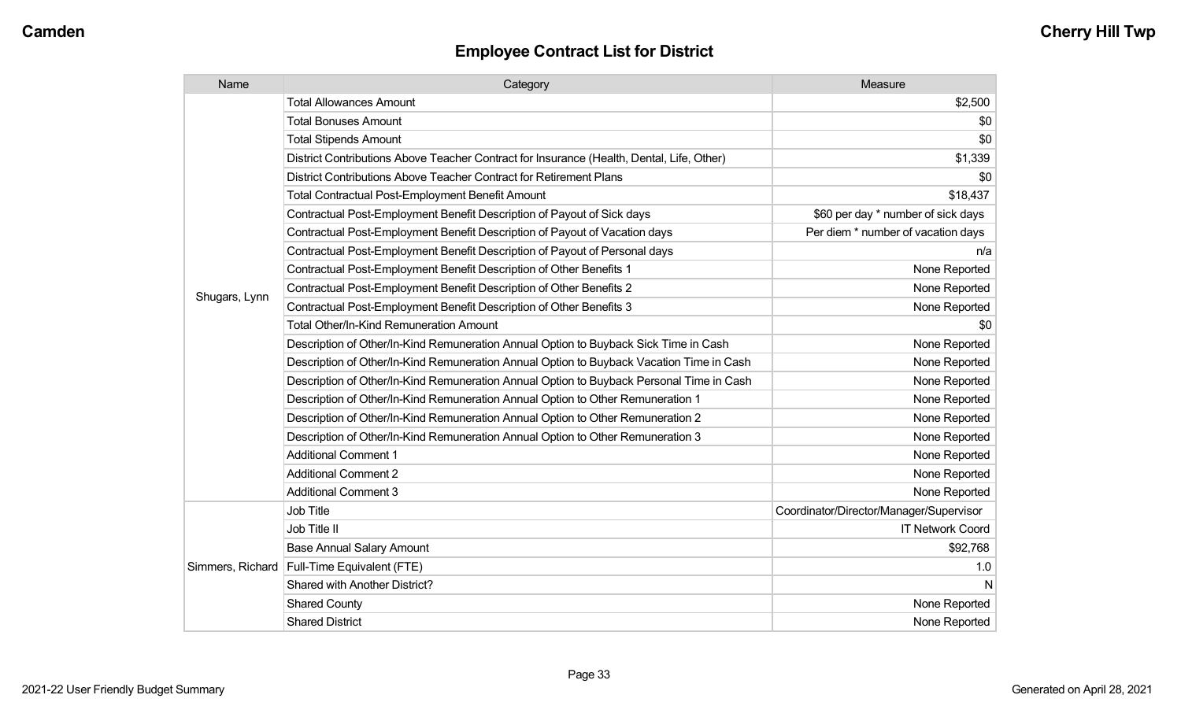| Name             | Category                                                                                  | Measure                                 |
|------------------|-------------------------------------------------------------------------------------------|-----------------------------------------|
|                  | <b>Total Allowances Amount</b>                                                            | \$2,500                                 |
|                  | <b>Total Bonuses Amount</b>                                                               | \$0                                     |
|                  | <b>Total Stipends Amount</b>                                                              | \$0                                     |
|                  | District Contributions Above Teacher Contract for Insurance (Health, Dental, Life, Other) | \$1,339                                 |
|                  | District Contributions Above Teacher Contract for Retirement Plans                        | \$0                                     |
|                  | <b>Total Contractual Post-Employment Benefit Amount</b>                                   | \$18,437                                |
|                  | Contractual Post-Employment Benefit Description of Payout of Sick days                    | \$60 per day * number of sick days      |
|                  | Contractual Post-Employment Benefit Description of Payout of Vacation days                | Per diem * number of vacation days      |
|                  | Contractual Post-Employment Benefit Description of Payout of Personal days                | n/a                                     |
|                  | Contractual Post-Employment Benefit Description of Other Benefits 1                       | None Reported                           |
|                  | Contractual Post-Employment Benefit Description of Other Benefits 2                       | None Reported                           |
| Shugars, Lynn    | Contractual Post-Employment Benefit Description of Other Benefits 3                       | None Reported                           |
|                  | Total Other/In-Kind Remuneration Amount                                                   | \$0                                     |
|                  | Description of Other/In-Kind Remuneration Annual Option to Buyback Sick Time in Cash      | None Reported                           |
|                  | Description of Other/In-Kind Remuneration Annual Option to Buyback Vacation Time in Cash  | None Reported                           |
|                  | Description of Other/In-Kind Remuneration Annual Option to Buyback Personal Time in Cash  | None Reported                           |
|                  | Description of Other/In-Kind Remuneration Annual Option to Other Remuneration 1           | None Reported                           |
|                  | Description of Other/In-Kind Remuneration Annual Option to Other Remuneration 2           | None Reported                           |
|                  | Description of Other/In-Kind Remuneration Annual Option to Other Remuneration 3           | None Reported                           |
|                  | <b>Additional Comment 1</b>                                                               | None Reported                           |
|                  | <b>Additional Comment 2</b>                                                               | None Reported                           |
|                  | <b>Additional Comment 3</b>                                                               | None Reported                           |
|                  | <b>Job Title</b>                                                                          | Coordinator/Director/Manager/Supervisor |
| Simmers, Richard | Job Title II                                                                              | <b>IT Network Coord</b>                 |
|                  | <b>Base Annual Salary Amount</b>                                                          | \$92,768                                |
|                  | Full-Time Equivalent (FTE)                                                                | 1.0                                     |
|                  | Shared with Another District?                                                             | N                                       |
|                  | <b>Shared County</b>                                                                      | None Reported                           |
|                  | <b>Shared District</b>                                                                    | None Reported                           |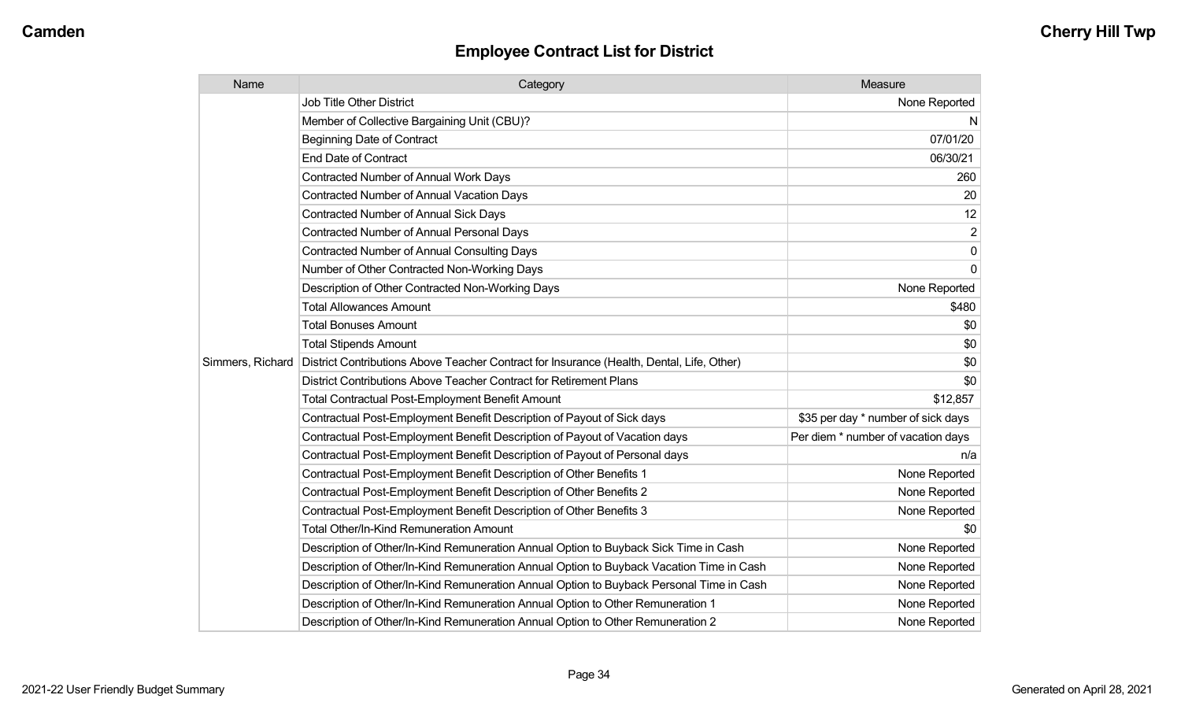| Name             | Category                                                                                  | Measure                            |
|------------------|-------------------------------------------------------------------------------------------|------------------------------------|
|                  | <b>Job Title Other District</b>                                                           | None Reported                      |
|                  | Member of Collective Bargaining Unit (CBU)?                                               | N                                  |
|                  | <b>Beginning Date of Contract</b>                                                         | 07/01/20                           |
|                  | <b>End Date of Contract</b>                                                               | 06/30/21                           |
|                  | Contracted Number of Annual Work Days                                                     | 260                                |
|                  | <b>Contracted Number of Annual Vacation Days</b>                                          | 20                                 |
|                  | <b>Contracted Number of Annual Sick Days</b>                                              | 12                                 |
|                  | <b>Contracted Number of Annual Personal Days</b>                                          | 2                                  |
|                  | Contracted Number of Annual Consulting Days                                               | $\mathbf 0$                        |
|                  | Number of Other Contracted Non-Working Days                                               | $\Omega$                           |
|                  | Description of Other Contracted Non-Working Days                                          | None Reported                      |
|                  | <b>Total Allowances Amount</b>                                                            | \$480                              |
|                  | <b>Total Bonuses Amount</b>                                                               | \$0                                |
|                  | <b>Total Stipends Amount</b>                                                              | \$0                                |
| Simmers, Richard | District Contributions Above Teacher Contract for Insurance (Health, Dental, Life, Other) | \$0                                |
|                  | District Contributions Above Teacher Contract for Retirement Plans                        | \$0                                |
|                  | <b>Total Contractual Post-Employment Benefit Amount</b>                                   | \$12,857                           |
|                  | Contractual Post-Employment Benefit Description of Payout of Sick days                    | \$35 per day * number of sick days |
|                  | Contractual Post-Employment Benefit Description of Payout of Vacation days                | Per diem * number of vacation days |
|                  | Contractual Post-Employment Benefit Description of Payout of Personal days                | n/a                                |
|                  | Contractual Post-Employment Benefit Description of Other Benefits 1                       | None Reported                      |
|                  | Contractual Post-Employment Benefit Description of Other Benefits 2                       | None Reported                      |
|                  | Contractual Post-Employment Benefit Description of Other Benefits 3                       | None Reported                      |
|                  | Total Other/In-Kind Remuneration Amount                                                   | \$0                                |
|                  | Description of Other/In-Kind Remuneration Annual Option to Buyback Sick Time in Cash      | None Reported                      |
|                  | Description of Other/In-Kind Remuneration Annual Option to Buyback Vacation Time in Cash  | None Reported                      |
|                  | Description of Other/In-Kind Remuneration Annual Option to Buyback Personal Time in Cash  | None Reported                      |
|                  | Description of Other/In-Kind Remuneration Annual Option to Other Remuneration 1           | None Reported                      |
|                  | Description of Other/In-Kind Remuneration Annual Option to Other Remuneration 2           | None Reported                      |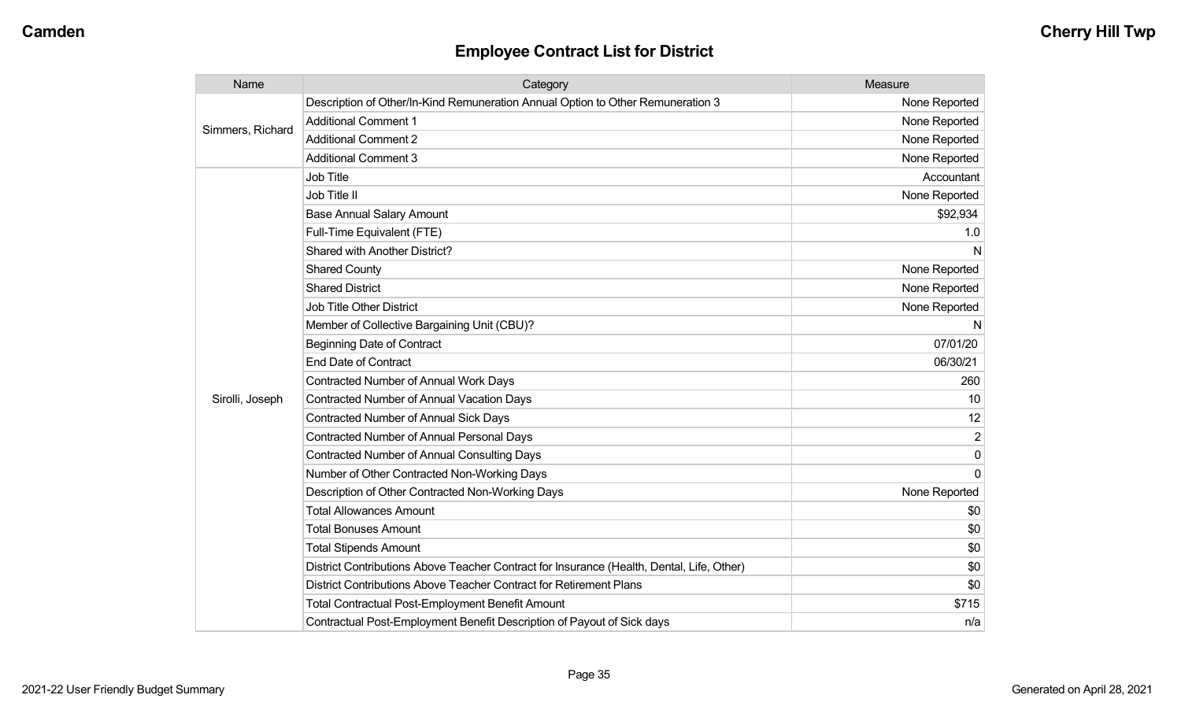| Name             | Category                                                                                  | Measure        |
|------------------|-------------------------------------------------------------------------------------------|----------------|
|                  | Description of Other/In-Kind Remuneration Annual Option to Other Remuneration 3           | None Reported  |
| Simmers, Richard | <b>Additional Comment 1</b>                                                               | None Reported  |
|                  | <b>Additional Comment 2</b>                                                               | None Reported  |
|                  | <b>Additional Comment 3</b>                                                               | None Reported  |
|                  | Job Title                                                                                 | Accountant     |
|                  | Job Title II                                                                              | None Reported  |
|                  | <b>Base Annual Salary Amount</b>                                                          | \$92,934       |
|                  | Full-Time Equivalent (FTE)                                                                | 1.0            |
|                  | Shared with Another District?                                                             | N              |
|                  | <b>Shared County</b>                                                                      | None Reported  |
|                  | <b>Shared District</b>                                                                    | None Reported  |
|                  | <b>Job Title Other District</b>                                                           | None Reported  |
|                  | Member of Collective Bargaining Unit (CBU)?                                               | N              |
|                  | <b>Beginning Date of Contract</b>                                                         | 07/01/20       |
|                  | <b>End Date of Contract</b>                                                               | 06/30/21       |
|                  | Contracted Number of Annual Work Days                                                     | 260            |
| Sirolli, Joseph  | Contracted Number of Annual Vacation Days                                                 | 10             |
|                  | <b>Contracted Number of Annual Sick Days</b>                                              | 12             |
|                  | Contracted Number of Annual Personal Days                                                 | $\overline{2}$ |
|                  | <b>Contracted Number of Annual Consulting Days</b>                                        | $\mathbf{0}$   |
|                  | Number of Other Contracted Non-Working Days                                               | $\Omega$       |
|                  | Description of Other Contracted Non-Working Days                                          | None Reported  |
|                  | <b>Total Allowances Amount</b>                                                            | \$0            |
|                  | <b>Total Bonuses Amount</b>                                                               | \$0            |
|                  | <b>Total Stipends Amount</b>                                                              | \$0            |
|                  | District Contributions Above Teacher Contract for Insurance (Health, Dental, Life, Other) | \$0            |
|                  | District Contributions Above Teacher Contract for Retirement Plans                        | \$0            |
|                  | <b>Total Contractual Post-Employment Benefit Amount</b>                                   | \$715          |
|                  | Contractual Post-Employment Benefit Description of Payout of Sick days                    | n/a            |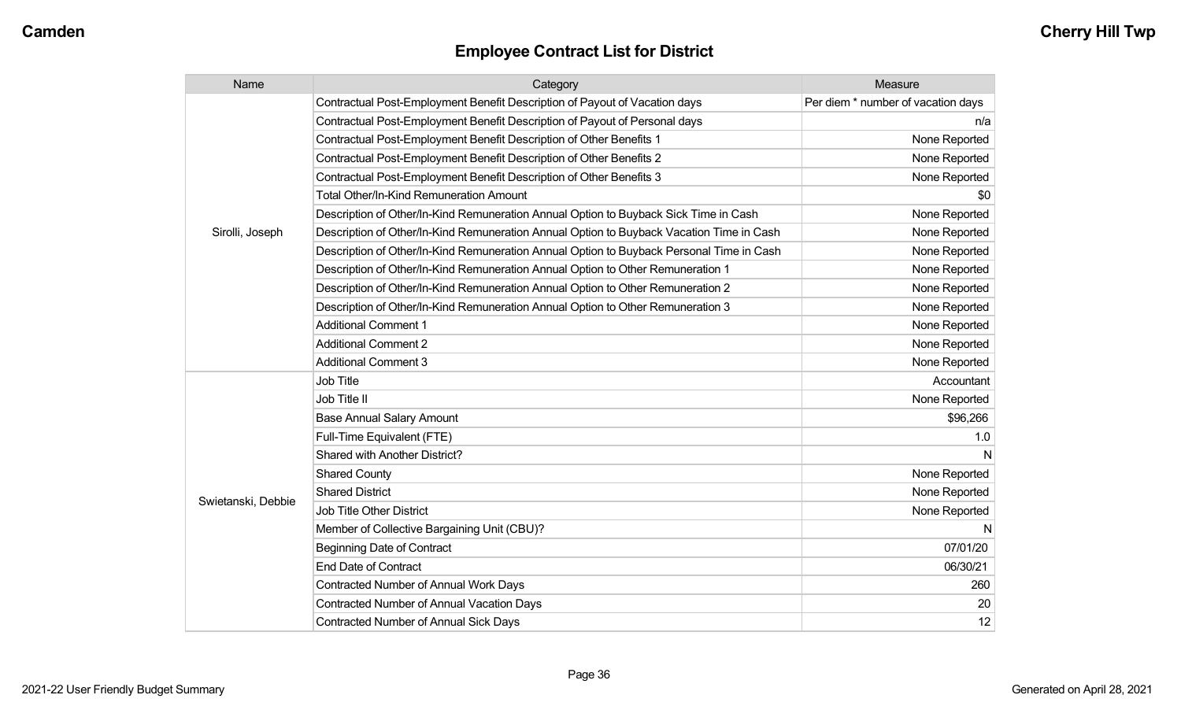| Name               | Category                                                                                 | Measure                            |
|--------------------|------------------------------------------------------------------------------------------|------------------------------------|
|                    | Contractual Post-Employment Benefit Description of Payout of Vacation days               | Per diem * number of vacation days |
|                    | Contractual Post-Employment Benefit Description of Payout of Personal days               | n/a                                |
|                    | Contractual Post-Employment Benefit Description of Other Benefits 1                      | None Reported                      |
|                    | Contractual Post-Employment Benefit Description of Other Benefits 2                      | None Reported                      |
|                    | Contractual Post-Employment Benefit Description of Other Benefits 3                      | None Reported                      |
|                    | <b>Total Other/In-Kind Remuneration Amount</b>                                           | \$0                                |
|                    | Description of Other/In-Kind Remuneration Annual Option to Buyback Sick Time in Cash     | None Reported                      |
| Sirolli, Joseph    | Description of Other/In-Kind Remuneration Annual Option to Buyback Vacation Time in Cash | None Reported                      |
|                    | Description of Other/In-Kind Remuneration Annual Option to Buyback Personal Time in Cash | None Reported                      |
|                    | Description of Other/In-Kind Remuneration Annual Option to Other Remuneration 1          | None Reported                      |
|                    | Description of Other/In-Kind Remuneration Annual Option to Other Remuneration 2          | None Reported                      |
|                    | Description of Other/In-Kind Remuneration Annual Option to Other Remuneration 3          | None Reported                      |
|                    | <b>Additional Comment 1</b>                                                              | None Reported                      |
|                    | <b>Additional Comment 2</b>                                                              | None Reported                      |
|                    | <b>Additional Comment 3</b>                                                              | None Reported                      |
|                    | Job Title                                                                                | Accountant                         |
|                    | Job Title II                                                                             | None Reported                      |
|                    | <b>Base Annual Salary Amount</b>                                                         | \$96,266                           |
|                    | Full-Time Equivalent (FTE)                                                               | 1.0                                |
|                    | Shared with Another District?                                                            |                                    |
|                    | <b>Shared County</b>                                                                     | None Reported                      |
|                    | <b>Shared District</b>                                                                   | None Reported                      |
| Swietanski, Debbie | Job Title Other District                                                                 | None Reported                      |
|                    | Member of Collective Bargaining Unit (CBU)?                                              | N                                  |
|                    | <b>Beginning Date of Contract</b>                                                        | 07/01/20                           |
|                    | <b>End Date of Contract</b>                                                              | 06/30/21                           |
|                    | <b>Contracted Number of Annual Work Days</b>                                             | 260                                |
|                    | <b>Contracted Number of Annual Vacation Days</b>                                         | 20                                 |
|                    | <b>Contracted Number of Annual Sick Days</b>                                             | 12                                 |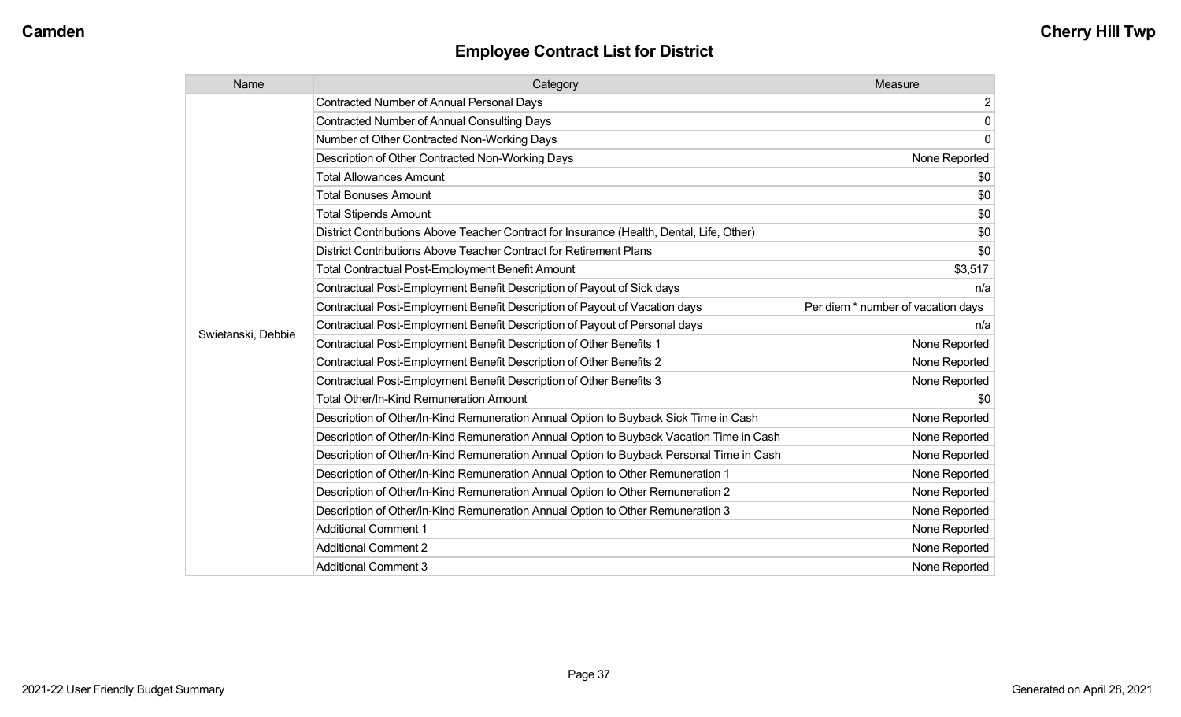| Name               | Category                                                                                  | Measure                            |
|--------------------|-------------------------------------------------------------------------------------------|------------------------------------|
|                    | <b>Contracted Number of Annual Personal Days</b>                                          | $\overline{2}$                     |
|                    | <b>Contracted Number of Annual Consulting Days</b>                                        | $\mathsf{O}\xspace$                |
|                    | Number of Other Contracted Non-Working Days                                               | $\overline{0}$                     |
|                    | Description of Other Contracted Non-Working Days                                          | None Reported                      |
|                    | <b>Total Allowances Amount</b>                                                            | \$0 <sub>1</sub>                   |
|                    | <b>Total Bonuses Amount</b>                                                               | \$0                                |
|                    | <b>Total Stipends Amount</b>                                                              | \$0                                |
|                    | District Contributions Above Teacher Contract for Insurance (Health, Dental, Life, Other) | \$0                                |
|                    | District Contributions Above Teacher Contract for Retirement Plans                        | \$0                                |
|                    | <b>Total Contractual Post-Employment Benefit Amount</b>                                   | \$3,517                            |
|                    | Contractual Post-Employment Benefit Description of Payout of Sick days                    | n/a                                |
|                    | Contractual Post-Employment Benefit Description of Payout of Vacation days                | Per diem * number of vacation days |
| Swietanski, Debbie | Contractual Post-Employment Benefit Description of Payout of Personal days                | n/a                                |
|                    | Contractual Post-Employment Benefit Description of Other Benefits 1                       | None Reported                      |
|                    | Contractual Post-Employment Benefit Description of Other Benefits 2                       | None Reported                      |
|                    | Contractual Post-Employment Benefit Description of Other Benefits 3                       | None Reported                      |
|                    | Total Other/In-Kind Remuneration Amount                                                   | \$0                                |
|                    | Description of Other/In-Kind Remuneration Annual Option to Buyback Sick Time in Cash      | None Reported                      |
|                    | Description of Other/In-Kind Remuneration Annual Option to Buyback Vacation Time in Cash  | None Reported                      |
|                    | Description of Other/In-Kind Remuneration Annual Option to Buyback Personal Time in Cash  | None Reported                      |
|                    | Description of Other/In-Kind Remuneration Annual Option to Other Remuneration 1           | None Reported                      |
|                    | Description of Other/In-Kind Remuneration Annual Option to Other Remuneration 2           | None Reported                      |
|                    | Description of Other/In-Kind Remuneration Annual Option to Other Remuneration 3           | None Reported                      |
|                    | <b>Additional Comment 1</b>                                                               | None Reported                      |
|                    | <b>Additional Comment 2</b>                                                               | None Reported                      |
|                    | <b>Additional Comment 3</b>                                                               | None Reported                      |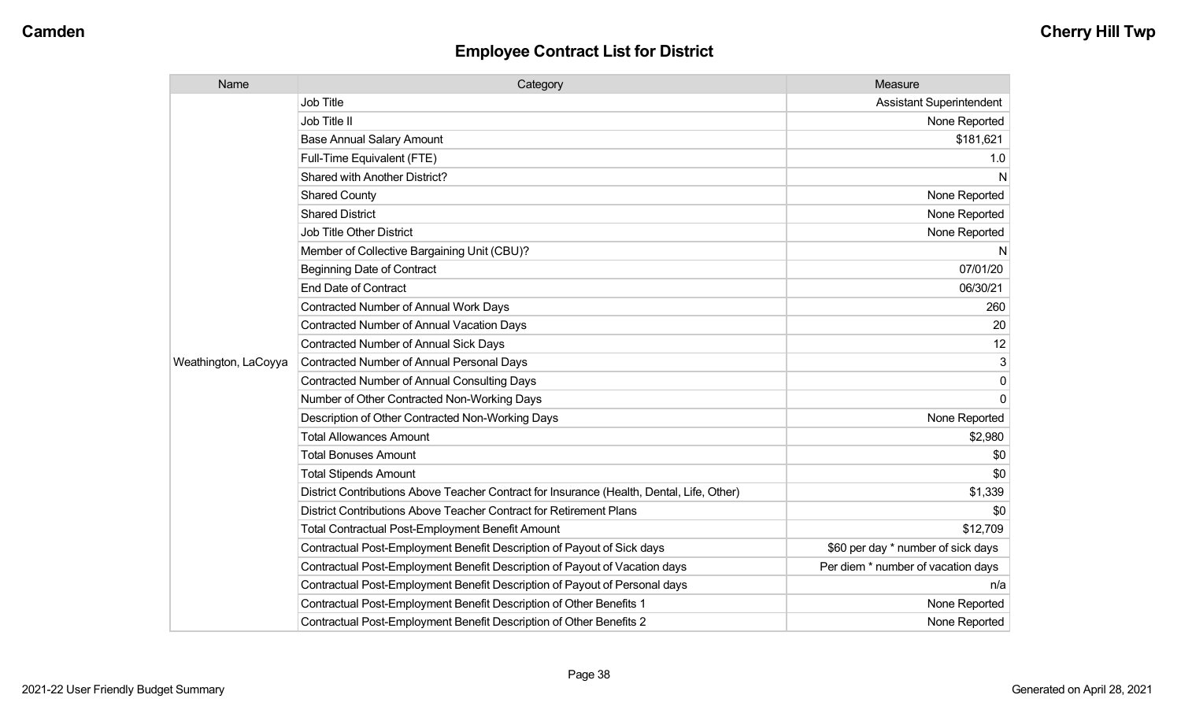| Name                 | Category                                                                                  | Measure                            |
|----------------------|-------------------------------------------------------------------------------------------|------------------------------------|
|                      | <b>Job Title</b>                                                                          | <b>Assistant Superintendent</b>    |
|                      | Job Title II                                                                              | None Reported                      |
|                      | <b>Base Annual Salary Amount</b>                                                          | \$181,621                          |
|                      | Full-Time Equivalent (FTE)                                                                | 1.0                                |
|                      | Shared with Another District?                                                             | N                                  |
|                      | <b>Shared County</b>                                                                      | None Reported                      |
|                      | <b>Shared District</b>                                                                    | None Reported                      |
|                      | <b>Job Title Other District</b>                                                           | None Reported                      |
|                      | Member of Collective Bargaining Unit (CBU)?                                               | N                                  |
|                      | <b>Beginning Date of Contract</b>                                                         | 07/01/20                           |
|                      | <b>End Date of Contract</b>                                                               | 06/30/21                           |
|                      | <b>Contracted Number of Annual Work Days</b>                                              | 260                                |
|                      | <b>Contracted Number of Annual Vacation Days</b>                                          | 20                                 |
|                      | Contracted Number of Annual Sick Days                                                     | 12                                 |
| Weathington, LaCoyya | Contracted Number of Annual Personal Days                                                 | 3                                  |
|                      | <b>Contracted Number of Annual Consulting Days</b>                                        | 0                                  |
|                      | Number of Other Contracted Non-Working Days                                               | $\mathbf 0$                        |
|                      | Description of Other Contracted Non-Working Days                                          | None Reported                      |
|                      | <b>Total Allowances Amount</b>                                                            | \$2,980                            |
|                      | <b>Total Bonuses Amount</b>                                                               | \$0                                |
|                      | <b>Total Stipends Amount</b>                                                              | \$0                                |
|                      | District Contributions Above Teacher Contract for Insurance (Health, Dental, Life, Other) | \$1,339                            |
|                      | District Contributions Above Teacher Contract for Retirement Plans                        | \$0                                |
|                      | <b>Total Contractual Post-Employment Benefit Amount</b>                                   | \$12,709                           |
|                      | Contractual Post-Employment Benefit Description of Payout of Sick days                    | \$60 per day * number of sick days |
|                      | Contractual Post-Employment Benefit Description of Payout of Vacation days                | Per diem * number of vacation days |
|                      | Contractual Post-Employment Benefit Description of Payout of Personal days                | n/a                                |
|                      | Contractual Post-Employment Benefit Description of Other Benefits 1                       | None Reported                      |
|                      | Contractual Post-Employment Benefit Description of Other Benefits 2                       | None Reported                      |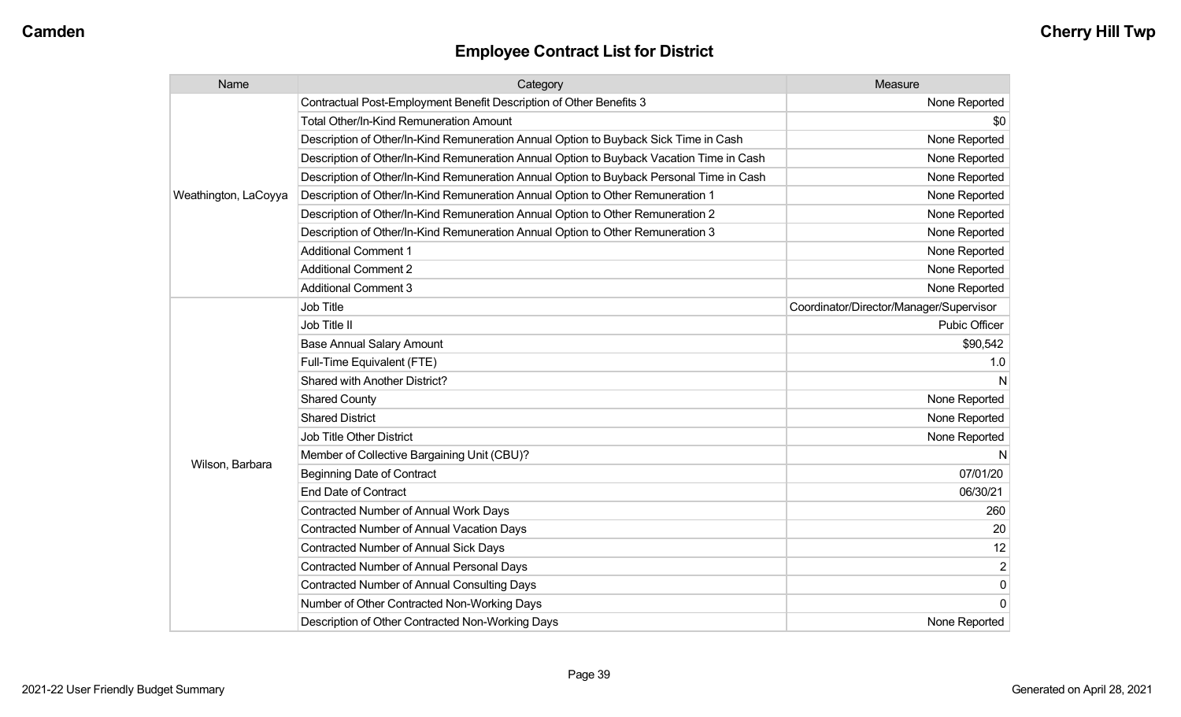| Name                 | Category                                                                                 | Measure                                 |
|----------------------|------------------------------------------------------------------------------------------|-----------------------------------------|
| Weathington, LaCoyya | Contractual Post-Employment Benefit Description of Other Benefits 3                      | None Reported                           |
|                      | Total Other/In-Kind Remuneration Amount                                                  | \$0                                     |
|                      | Description of Other/In-Kind Remuneration Annual Option to Buyback Sick Time in Cash     | None Reported                           |
|                      | Description of Other/In-Kind Remuneration Annual Option to Buyback Vacation Time in Cash | None Reported                           |
|                      | Description of Other/In-Kind Remuneration Annual Option to Buyback Personal Time in Cash | None Reported                           |
|                      | Description of Other/In-Kind Remuneration Annual Option to Other Remuneration 1          | None Reported                           |
|                      | Description of Other/In-Kind Remuneration Annual Option to Other Remuneration 2          | None Reported                           |
|                      | Description of Other/In-Kind Remuneration Annual Option to Other Remuneration 3          | None Reported                           |
|                      | <b>Additional Comment 1</b>                                                              | None Reported                           |
|                      | <b>Additional Comment 2</b>                                                              | None Reported                           |
|                      | <b>Additional Comment 3</b>                                                              | None Reported                           |
|                      | <b>Job Title</b>                                                                         | Coordinator/Director/Manager/Supervisor |
|                      | Job Title II                                                                             | Pubic Officer                           |
|                      | <b>Base Annual Salary Amount</b>                                                         | \$90,542                                |
|                      | Full-Time Equivalent (FTE)                                                               | 1.0                                     |
|                      | <b>Shared with Another District?</b>                                                     |                                         |
|                      | <b>Shared County</b>                                                                     | None Reported                           |
|                      | <b>Shared District</b>                                                                   | None Reported                           |
| Wilson, Barbara      | <b>Job Title Other District</b>                                                          | None Reported                           |
|                      | Member of Collective Bargaining Unit (CBU)?                                              |                                         |
|                      | <b>Beginning Date of Contract</b>                                                        | 07/01/20                                |
|                      | <b>End Date of Contract</b>                                                              | 06/30/21                                |
|                      | Contracted Number of Annual Work Days                                                    | 260                                     |
|                      | Contracted Number of Annual Vacation Days                                                | 20                                      |
|                      | <b>Contracted Number of Annual Sick Days</b>                                             | 12                                      |
|                      | <b>Contracted Number of Annual Personal Days</b>                                         | $\overline{2}$                          |
|                      | <b>Contracted Number of Annual Consulting Days</b>                                       | $\mathbf 0$                             |
|                      | Number of Other Contracted Non-Working Days                                              | $\Omega$                                |
|                      | Description of Other Contracted Non-Working Days                                         | None Reported                           |